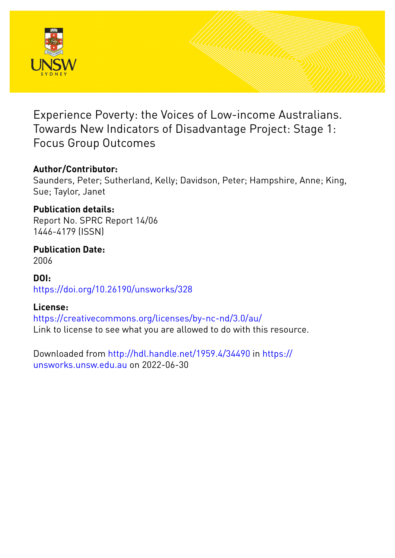

Experience Poverty: the Voices of Low-income Australians. Towards New Indicators of Disadvantage Project: Stage 1: Focus Group Outcomes

### **Author/Contributor:**

Saunders, Peter; Sutherland, Kelly; Davidson, Peter; Hampshire, Anne; King, Sue; Taylor, Janet

## **Publication details:**

Report No. SPRC Report 14/06 1446-4179 (ISSN)

**Publication Date:** 2006

**DOI:** [https://doi.org/10.26190/unsworks/328](http://dx.doi.org/https://doi.org/10.26190/unsworks/328)

### **License:**

<https://creativecommons.org/licenses/by-nc-nd/3.0/au/> Link to license to see what you are allowed to do with this resource.

Downloaded from <http://hdl.handle.net/1959.4/34490> in [https://](https://unsworks.unsw.edu.au) [unsworks.unsw.edu.au](https://unsworks.unsw.edu.au) on 2022-06-30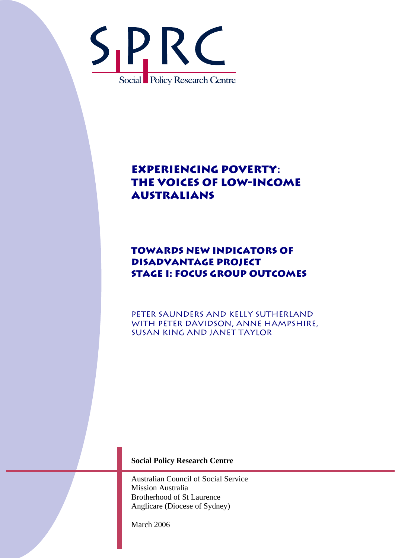

# **Experiencing Poverty: The Voices of Low-Income Australians**

## **Towards New Indicators of Disadvantage Project Stage I: Focus Group Outcomes**

Peter Saunders and Kelly Sutherland with Peter Davidson, Anne Hampshire, Susan King and Janet Taylor

#### **Social Policy Research Centre**

Australian Council of Social Service Mission Australia Brotherhood of St Laurence Anglicare (Diocese of Sydney)

March 2006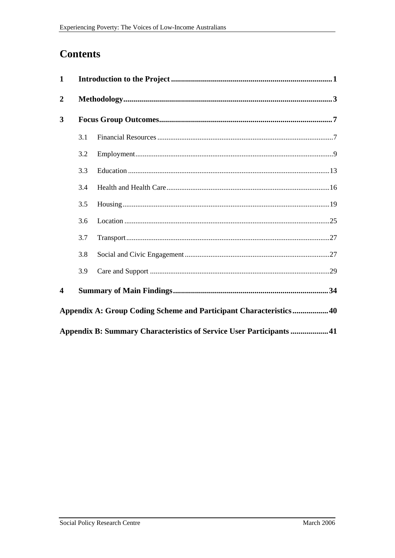## **Contents**

| $\mathbf{1}$                                                         |     |                                                                    |
|----------------------------------------------------------------------|-----|--------------------------------------------------------------------|
| $\overline{2}$                                                       |     |                                                                    |
| 3                                                                    |     |                                                                    |
|                                                                      | 3.1 |                                                                    |
|                                                                      | 3.2 |                                                                    |
|                                                                      | 3.3 |                                                                    |
|                                                                      | 3.4 |                                                                    |
|                                                                      | 3.5 |                                                                    |
|                                                                      | 3.6 |                                                                    |
|                                                                      | 3.7 |                                                                    |
|                                                                      | 3.8 |                                                                    |
|                                                                      | 3.9 |                                                                    |
| $\overline{\mathbf{4}}$                                              |     |                                                                    |
|                                                                      |     | Appendix A: Group Coding Scheme and Participant Characteristics 40 |
| Appendix B: Summary Characteristics of Service User Participants  41 |     |                                                                    |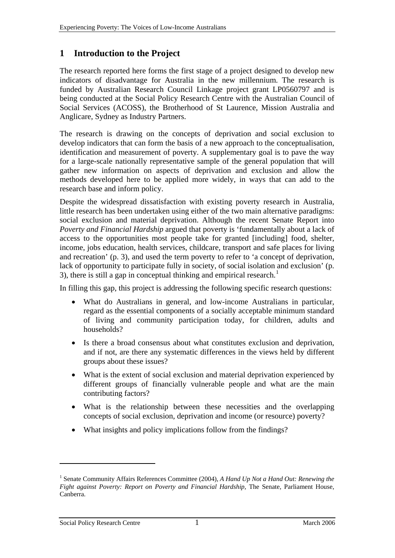### <span id="page-3-0"></span>**1 Introduction to the Project**

The research reported here forms the first stage of a project designed to develop new indicators of disadvantage for Australia in the new millennium. The research is funded by Australian Research Council Linkage project grant LP0560797 and is being conducted at the Social Policy Research Centre with the Australian Council of Social Services (ACOSS), the Brotherhood of St Laurence, Mission Australia and Anglicare, Sydney as Industry Partners.

The research is drawing on the concepts of deprivation and social exclusion to develop indicators that can form the basis of a new approach to the conceptualisation, identification and measurement of poverty. A supplementary goal is to pave the way for a large-scale nationally representative sample of the general population that will gather new information on aspects of deprivation and exclusion and allow the methods developed here to be applied more widely, in ways that can add to the research base and inform policy.

Despite the widespread dissatisfaction with existing poverty research in Australia, little research has been undertaken using either of the two main alternative paradigms: social exclusion and material deprivation. Although the recent Senate Report into *Poverty and Financial Hardship* argued that poverty is 'fundamentally about a lack of access to the opportunities most people take for granted [including] food, shelter, income, jobs education, health services, childcare, transport and safe places for living and recreation' (p. 3), and used the term poverty to refer to 'a concept of deprivation, lack of opportunity to participate fully in society, of social isolation and exclusion' (p. 3), there is still a gap in conceptual thinking and empirical research.<sup>[1](#page-3-1)</sup>

In filling this gap, this project is addressing the following specific research questions:

- What do Australians in general, and low-income Australians in particular, regard as the essential components of a socially acceptable minimum standard of living and community participation today, for children, adults and households?
- Is there a broad consensus about what constitutes exclusion and deprivation, and if not, are there any systematic differences in the views held by different groups about these issues?
- What is the extent of social exclusion and material deprivation experienced by different groups of financially vulnerable people and what are the main contributing factors?
- What is the relationship between these necessities and the overlapping concepts of social exclusion, deprivation and income (or resource) poverty?
- What insights and policy implications follow from the findings?

1

<span id="page-3-1"></span><sup>&</sup>lt;sup>1</sup> Senate Community Affairs References Committee (2004), *A Hand Up Not a Hand Out: Renewing the Fight against Poverty: Report on Poverty and Financial Hardship,* The Senate, Parliament House, Canberra.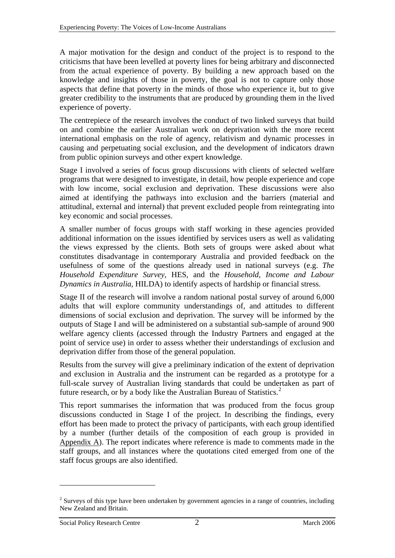A major motivation for the design and conduct of the project is to respond to the criticisms that have been levelled at poverty lines for being arbitrary and disconnected from the actual experience of poverty. By building a new approach based on the knowledge and insights of those in poverty, the goal is not to capture only those aspects that define that poverty in the minds of those who experience it, but to give greater credibility to the instruments that are produced by grounding them in the lived experience of poverty.

The centrepiece of the research involves the conduct of two linked surveys that build on and combine the earlier Australian work on deprivation with the more recent international emphasis on the role of agency, relativism and dynamic processes in causing and perpetuating social exclusion, and the development of indicators drawn from public opinion surveys and other expert knowledge.

Stage I involved a series of focus group discussions with clients of selected welfare programs that were designed to investigate, in detail, how people experience and cope with low income, social exclusion and deprivation. These discussions were also aimed at identifying the pathways into exclusion and the barriers (material and attitudinal, external and internal) that prevent excluded people from reintegrating into key economic and social processes.

A smaller number of focus groups with staff working in these agencies provided additional information on the issues identified by services users as well as validating the views expressed by the clients. Both sets of groups were asked about what constitutes disadvantage in contemporary Australia and provided feedback on the usefulness of some of the questions already used in national surveys (e.g. *The Household Expenditure Survey*, HES, and the *Household, Income and Labour Dynamics in Australia*, HILDA) to identify aspects of hardship or financial stress.

Stage II of the research will involve a random national postal survey of around 6,000 adults that will explore community understandings of, and attitudes to different dimensions of social exclusion and deprivation. The survey will be informed by the outputs of Stage I and will be administered on a substantial sub-sample of around 900 welfare agency clients (accessed through the Industry Partners and engaged at the point of service use) in order to assess whether their understandings of exclusion and deprivation differ from those of the general population.

Results from the survey will give a preliminary indication of the extent of deprivation and exclusion in Australia and the instrument can be regarded as a prototype for a full-scale survey of Australian living standards that could be undertaken as part of future research, or by a body like the Australian Bureau of Statistics.<sup>[2](#page-4-0)</sup>

This report summarises the information that was produced from the focus group discussions conducted in Stage I of the project. In describing the findings, every effort has been made to protect the privacy of participants, with each group identified by a number (further details of the composition of each group is provided in Appendix A). The report indicates where reference is made to comments made in the staff groups, and all instances where the quotations cited emerged from one of the staff focus groups are also identified.

1

<span id="page-4-0"></span> $2$  Surveys of this type have been undertaken by government agencies in a range of countries, including New Zealand and Britain.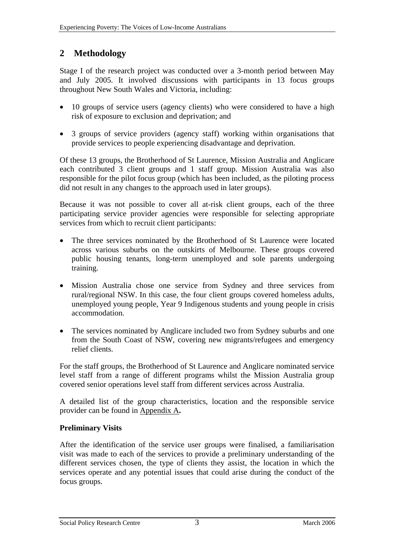### <span id="page-5-0"></span>**2 Methodology**

Stage I of the research project was conducted over a 3-month period between May and July 2005. It involved discussions with participants in 13 focus groups throughout New South Wales and Victoria, including:

- 10 groups of service users (agency clients) who were considered to have a high risk of exposure to exclusion and deprivation; and
- 3 groups of service providers (agency staff) working within organisations that provide services to people experiencing disadvantage and deprivation.

Of these 13 groups, the Brotherhood of St Laurence, Mission Australia and Anglicare each contributed 3 client groups and 1 staff group. Mission Australia was also responsible for the pilot focus group (which has been included, as the piloting process did not result in any changes to the approach used in later groups).

Because it was not possible to cover all at-risk client groups, each of the three participating service provider agencies were responsible for selecting appropriate services from which to recruit client participants:

- The three services nominated by the Brotherhood of St Laurence were located across various suburbs on the outskirts of Melbourne. These groups covered public housing tenants, long-term unemployed and sole parents undergoing training.
- Mission Australia chose one service from Sydney and three services from rural/regional NSW. In this case, the four client groups covered homeless adults, unemployed young people, Year 9 Indigenous students and young people in crisis accommodation.
- The services nominated by Anglicare included two from Sydney suburbs and one from the South Coast of NSW, covering new migrants/refugees and emergency relief clients.

For the staff groups, the Brotherhood of St Laurence and Anglicare nominated service level staff from a range of different programs whilst the Mission Australia group covered senior operations level staff from different services across Australia.

A detailed list of the group characteristics, location and the responsible service provider can be found in Appendix A**.**

### **Preliminary Visits**

After the identification of the service user groups were finalised, a familiarisation visit was made to each of the services to provide a preliminary understanding of the different services chosen, the type of clients they assist, the location in which the services operate and any potential issues that could arise during the conduct of the focus groups.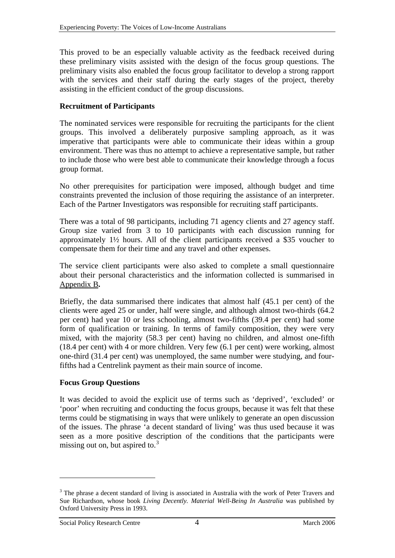This proved to be an especially valuable activity as the feedback received during these preliminary visits assisted with the design of the focus group questions. The preliminary visits also enabled the focus group facilitator to develop a strong rapport with the services and their staff during the early stages of the project, thereby assisting in the efficient conduct of the group discussions.

#### **Recruitment of Participants**

The nominated services were responsible for recruiting the participants for the client groups. This involved a deliberately purposive sampling approach, as it was imperative that participants were able to communicate their ideas within a group environment. There was thus no attempt to achieve a representative sample, but rather to include those who were best able to communicate their knowledge through a focus group format.

No other prerequisites for participation were imposed, although budget and time constraints prevented the inclusion of those requiring the assistance of an interpreter. Each of the Partner Investigators was responsible for recruiting staff participants.

There was a total of 98 participants, including 71 agency clients and 27 agency staff. Group size varied from 3 to 10 participants with each discussion running for approximately 1½ hours. All of the client participants received a \$35 voucher to compensate them for their time and any travel and other expenses.

The service client participants were also asked to complete a small questionnaire about their personal characteristics and the information collected is summarised in Appendix B**.**

Briefly, the data summarised there indicates that almost half (45.1 per cent) of the clients were aged 25 or under, half were single, and although almost two-thirds (64.2 per cent) had year 10 or less schooling, almost two-fifths (39.4 per cent) had some form of qualification or training. In terms of family composition, they were very mixed, with the majority (58.3 per cent) having no children, and almost one-fifth (18.4 per cent) with 4 or more children. Very few (6.1 per cent) were working, almost one-third (31.4 per cent) was unemployed, the same number were studying, and fourfifths had a Centrelink payment as their main source of income.

#### **Focus Group Questions**

It was decided to avoid the explicit use of terms such as 'deprived', 'excluded' or 'poor' when recruiting and conducting the focus groups, because it was felt that these terms could be stigmatising in ways that were unlikely to generate an open discussion of the issues. The phrase 'a decent standard of living' was thus used because it was seen as a more positive description of the conditions that the participants were missing out on, but aspired to. $3$ 

1

<span id="page-6-0"></span><sup>&</sup>lt;sup>3</sup> The phrase a decent standard of living is associated in Australia with the work of Peter Travers and Sue Richardson, whose book *Living Decently. Material Well-Being In Australia* was published by Oxford University Press in 1993.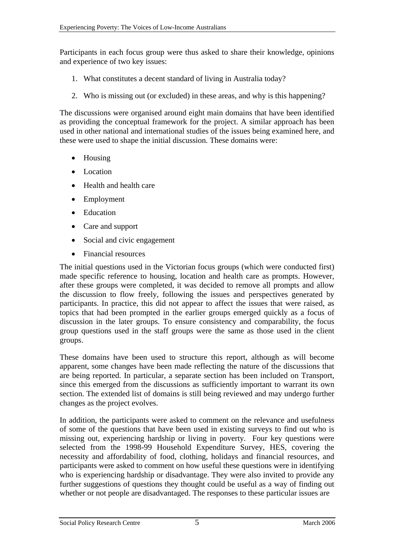Participants in each focus group were thus asked to share their knowledge, opinions and experience of two key issues:

- 1. What constitutes a decent standard of living in Australia today?
- 2. Who is missing out (or excluded) in these areas, and why is this happening?

The discussions were organised around eight main domains that have been identified as providing the conceptual framework for the project. A similar approach has been used in other national and international studies of the issues being examined here, and these were used to shape the initial discussion. These domains were:

- Housing
- Location
- Health and health care
- Employment
- Education
- Care and support
- Social and civic engagement
- Financial resources

The initial questions used in the Victorian focus groups (which were conducted first) made specific reference to housing, location and health care as prompts. However, after these groups were completed, it was decided to remove all prompts and allow the discussion to flow freely, following the issues and perspectives generated by participants. In practice, this did not appear to affect the issues that were raised, as topics that had been prompted in the earlier groups emerged quickly as a focus of discussion in the later groups. To ensure consistency and comparability, the focus group questions used in the staff groups were the same as those used in the client groups.

These domains have been used to structure this report, although as will become apparent, some changes have been made reflecting the nature of the discussions that are being reported. In particular, a separate section has been included on Transport, since this emerged from the discussions as sufficiently important to warrant its own section. The extended list of domains is still being reviewed and may undergo further changes as the project evolves.

In addition, the participants were asked to comment on the relevance and usefulness of some of the questions that have been used in existing surveys to find out who is missing out, experiencing hardship or living in poverty. Four key questions were selected from the 1998-99 Household Expenditure Survey, HES, covering the necessity and affordability of food, clothing, holidays and financial resources, and participants were asked to comment on how useful these questions were in identifying who is experiencing hardship or disadvantage. They were also invited to provide any further suggestions of questions they thought could be useful as a way of finding out whether or not people are disadvantaged. The responses to these particular issues are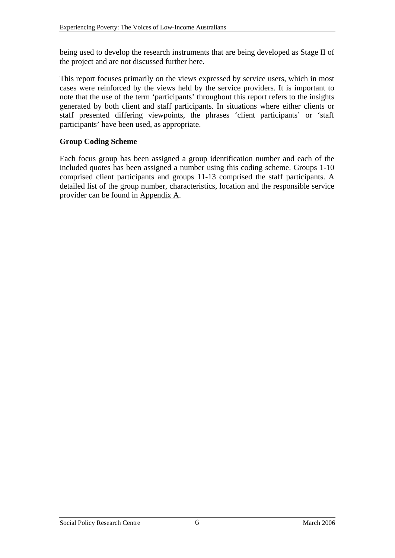being used to develop the research instruments that are being developed as Stage II of the project and are not discussed further here.

This report focuses primarily on the views expressed by service users, which in most cases were reinforced by the views held by the service providers. It is important to note that the use of the term 'participants' throughout this report refers to the insights generated by both client and staff participants. In situations where either clients or staff presented differing viewpoints, the phrases 'client participants' or 'staff participants' have been used, as appropriate.

#### **Group Coding Scheme**

Each focus group has been assigned a group identification number and each of the included quotes has been assigned a number using this coding scheme. Groups 1-10 comprised client participants and groups 11-13 comprised the staff participants. A detailed list of the group number, characteristics, location and the responsible service provider can be found in Appendix A.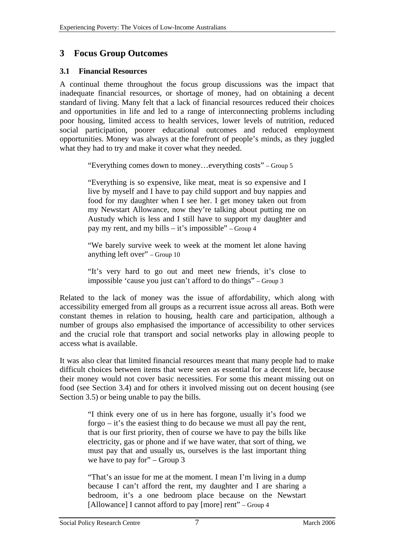### <span id="page-9-0"></span>**3 Focus Group Outcomes**

#### **3.1 Financial Resources**

A continual theme throughout the focus group discussions was the impact that inadequate financial resources, or shortage of money, had on obtaining a decent standard of living. Many felt that a lack of financial resources reduced their choices and opportunities in life and led to a range of interconnecting problems including poor housing, limited access to health services, lower levels of nutrition, reduced social participation, poorer educational outcomes and reduced employment opportunities. Money was always at the forefront of people's minds, as they juggled what they had to try and make it cover what they needed.

"Everything comes down to money…everything costs" – Group 5

"Everything is so expensive, like meat, meat is so expensive and I live by myself and I have to pay child support and buy nappies and food for my daughter when I see her. I get money taken out from my Newstart Allowance, now they're talking about putting me on Austudy which is less and I still have to support my daughter and pay my rent, and my bills – it's impossible" – Group 4

"We barely survive week to week at the moment let alone having anything left over" – Group 10

"It's very hard to go out and meet new friends, it's close to impossible 'cause you just can't afford to do things" – Group 3

Related to the lack of money was the issue of affordability, which along with accessibility emerged from all groups as a recurrent issue across all areas. Both were constant themes in relation to housing, health care and participation, although a number of groups also emphasised the importance of accessibility to other services and the crucial role that transport and social networks play in allowing people to access what is available.

It was also clear that limited financial resources meant that many people had to make difficult choices between items that were seen as essential for a decent life, because their money would not cover basic necessities. For some this meant missing out on food (see Section [3.4](#page-18-1)) and for others it involved missing out on decent housing (see Section [3.5](#page-21-1)) or being unable to pay the bills.

> "I think every one of us in here has forgone, usually it's food we forgo – it's the easiest thing to do because we must all pay the rent, that is our first priority, then of course we have to pay the bills like electricity, gas or phone and if we have water, that sort of thing, we must pay that and usually us, ourselves is the last important thing we have to pay for" – Group 3

> "That's an issue for me at the moment. I mean I'm living in a dump because I can't afford the rent, my daughter and I are sharing a bedroom, it's a one bedroom place because on the Newstart [Allowance] I cannot afford to pay [more] rent" – Group 4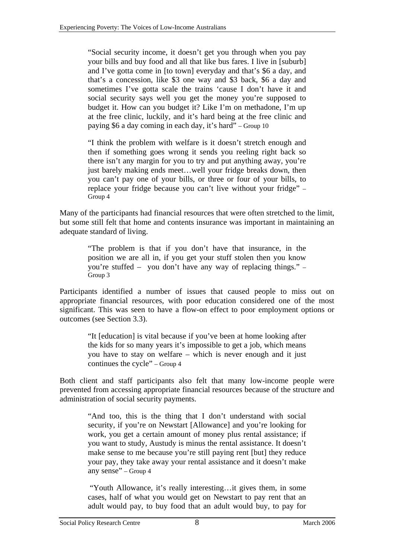"Social security income, it doesn't get you through when you pay your bills and buy food and all that like bus fares. I live in [suburb] and I've gotta come in [to town] everyday and that's \$6 a day, and that's a concession, like \$3 one way and \$3 back, \$6 a day and sometimes I've gotta scale the trains 'cause I don't have it and social security says well you get the money you're supposed to budget it. How can you budget it? Like I'm on methadone, I'm up at the free clinic, luckily, and it's hard being at the free clinic and paying \$6 a day coming in each day, it's hard" – Group 10

"I think the problem with welfare is it doesn't stretch enough and then if something goes wrong it sends you reeling right back so there isn't any margin for you to try and put anything away, you're just barely making ends meet...well your fridge breaks down, then you can't pay one of your bills, or three or four of your bills, to replace your fridge because you can't live without your fridge" – Group 4

Many of the participants had financial resources that were often stretched to the limit, but some still felt that home and contents insurance was important in maintaining an adequate standard of living.

> "The problem is that if you don't have that insurance, in the position we are all in, if you get your stuff stolen then you know you're stuffed – you don't have any way of replacing things." – Group 3

Participants identified a number of issues that caused people to miss out on appropriate financial resources, with poor education considered one of the most significant. This was seen to have a flow-on effect to poor employment options or outcomes (see Section [3.3](#page-15-1)).

> "It [education] is vital because if you've been at home looking after the kids for so many years it's impossible to get a job, which means you have to stay on welfare – which is never enough and it just continues the cycle" – Group 4

Both client and staff participants also felt that many low-income people were prevented from accessing appropriate financial resources because of the structure and administration of social security payments.

> "And too, this is the thing that I don't understand with social security, if you're on Newstart [Allowance] and you're looking for work, you get a certain amount of money plus rental assistance; if you want to study, Austudy is minus the rental assistance. It doesn't make sense to me because you're still paying rent [but] they reduce your pay, they take away your rental assistance and it doesn't make any sense" – Group 4

> "Youth Allowance, it's really interesting…it gives them, in some cases, half of what you would get on Newstart to pay rent that an adult would pay, to buy food that an adult would buy, to pay for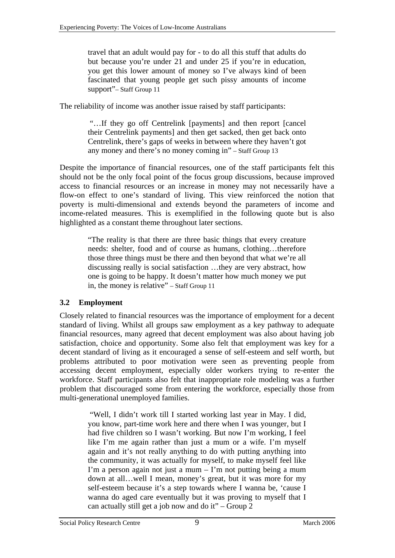<span id="page-11-0"></span>travel that an adult would pay for - to do all this stuff that adults do but because you're under 21 and under 25 if you're in education, you get this lower amount of money so I've always kind of been fascinated that young people get such pissy amounts of income support"– Staff Group 11

The reliability of income was another issue raised by staff participants:

 "…If they go off Centrelink [payments] and then report [cancel their Centrelink payments] and then get sacked, then get back onto Centrelink, there's gaps of weeks in between where they haven't got any money and there's no money coming in" – Staff Group 13

Despite the importance of financial resources, one of the staff participants felt this should not be the only focal point of the focus group discussions, because improved access to financial resources or an increase in money may not necessarily have a flow-on effect to one's standard of living. This view reinforced the notion that poverty is multi-dimensional and extends beyond the parameters of income and income-related measures. This is exemplified in the following quote but is also highlighted as a constant theme throughout later sections.

> "The reality is that there are three basic things that every creature needs: shelter, food and of course as humans, clothing…therefore those three things must be there and then beyond that what we're all discussing really is social satisfaction …they are very abstract, how one is going to be happy. It doesn't matter how much money we put in, the money is relative" – Staff Group 11

### **3.2 Employment**

Closely related to financial resources was the importance of employment for a decent standard of living. Whilst all groups saw employment as a key pathway to adequate financial resources, many agreed that decent employment was also about having job satisfaction, choice and opportunity. Some also felt that employment was key for a decent standard of living as it encouraged a sense of self-esteem and self worth, but problems attributed to poor motivation were seen as preventing people from accessing decent employment, especially older workers trying to re-enter the workforce. Staff participants also felt that inappropriate role modeling was a further problem that discouraged some from entering the workforce, especially those from multi-generational unemployed families.

> "Well, I didn't work till I started working last year in May. I did, you know, part-time work here and there when I was younger, but I had five children so I wasn't working. But now I'm working, I feel like I'm me again rather than just a mum or a wife. I'm myself again and it's not really anything to do with putting anything into the community, it was actually for myself, to make myself feel like I'm a person again not just a mum  $-$  I'm not putting being a mum down at all…well I mean, money's great, but it was more for my self-esteem because it's a step towards where I wanna be, 'cause I wanna do aged care eventually but it was proving to myself that I can actually still get a job now and do it" – Group  $\overline{2}$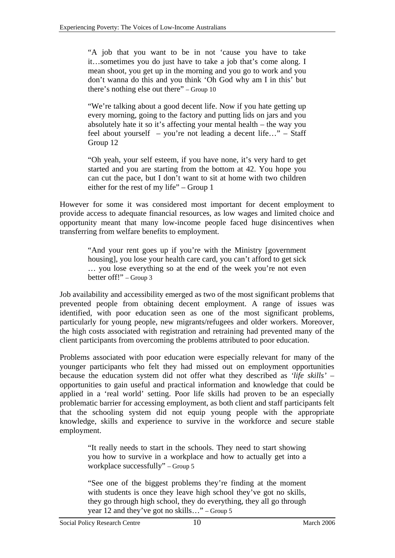"A job that you want to be in not 'cause you have to take it…sometimes you do just have to take a job that's come along. I mean shoot, you get up in the morning and you go to work and you don't wanna do this and you think 'Oh God why am I in this' but there's nothing else out there" – Group 10

"We're talking about a good decent life. Now if you hate getting up every morning, going to the factory and putting lids on jars and you absolutely hate it so it's affecting your mental health – the way you feel about yourself – you're not leading a decent life…" – Staff Group 12

"Oh yeah, your self esteem, if you have none, it's very hard to get started and you are starting from the bottom at 42. You hope you can cut the pace, but I don't want to sit at home with two children either for the rest of my life" – Group 1

However for some it was considered most important for decent employment to provide access to adequate financial resources, as low wages and limited choice and opportunity meant that many low-income people faced huge disincentives when transferring from welfare benefits to employment.

> "And your rent goes up if you're with the Ministry [government housing], you lose your health care card, you can't afford to get sick … you lose everything so at the end of the week you're not even better off!" – Group 3

Job availability and accessibility emerged as two of the most significant problems that prevented people from obtaining decent employment. A range of issues was identified, with poor education seen as one of the most significant problems, particularly for young people, new migrants/refugees and older workers. Moreover, the high costs associated with registration and retraining had prevented many of the client participants from overcoming the problems attributed to poor education.

Problems associated with poor education were especially relevant for many of the younger participants who felt they had missed out on employment opportunities because the education system did not offer what they described as *'life skills'* – opportunities to gain useful and practical information and knowledge that could be applied in a 'real world' setting. Poor life skills had proven to be an especially problematic barrier for accessing employment, as both client and staff participants felt that the schooling system did not equip young people with the appropriate knowledge, skills and experience to survive in the workforce and secure stable employment.

> "It really needs to start in the schools. They need to start showing you how to survive in a workplace and how to actually get into a workplace successfully" – Group 5

> "See one of the biggest problems they're finding at the moment with students is once they leave high school they've got no skills, they go through high school, they do everything, they all go through year 12 and they've got no skills…" – Group 5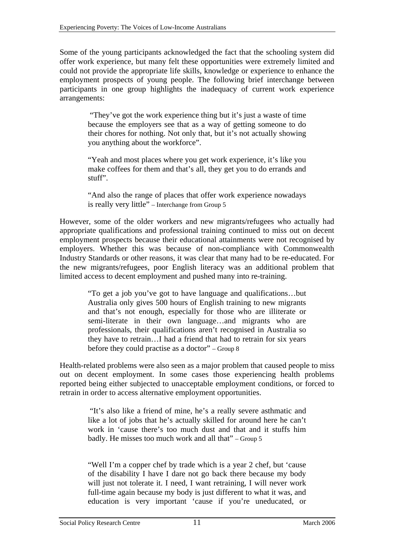Some of the young participants acknowledged the fact that the schooling system did offer work experience, but many felt these opportunities were extremely limited and could not provide the appropriate life skills, knowledge or experience to enhance the employment prospects of young people. The following brief interchange between participants in one group highlights the inadequacy of current work experience arrangements:

> "They've got the work experience thing but it's just a waste of time because the employers see that as a way of getting someone to do their chores for nothing. Not only that, but it's not actually showing you anything about the workforce".

> "Yeah and most places where you get work experience, it's like you make coffees for them and that's all, they get you to do errands and stuff".

> "And also the range of places that offer work experience nowadays is really very little" – Interchange from Group 5

However, some of the older workers and new migrants/refugees who actually had appropriate qualifications and professional training continued to miss out on decent employment prospects because their educational attainments were not recognised by employers. Whether this was because of non-compliance with Commonwealth Industry Standards or other reasons, it was clear that many had to be re-educated. For the new migrants/refugees, poor English literacy was an additional problem that limited access to decent employment and pushed many into re-training.

> "To get a job you've got to have language and qualifications…but Australia only gives 500 hours of English training to new migrants and that's not enough, especially for those who are illiterate or semi-literate in their own language…and migrants who are professionals, their qualifications aren't recognised in Australia so they have to retrain…I had a friend that had to retrain for six years before they could practise as a doctor" – Group 8

Health-related problems were also seen as a major problem that caused people to miss out on decent employment. In some cases those experiencing health problems reported being either subjected to unacceptable employment conditions, or forced to retrain in order to access alternative employment opportunities.

> "It's also like a friend of mine, he's a really severe asthmatic and like a lot of jobs that he's actually skilled for around here he can't work in 'cause there's too much dust and that and it stuffs him badly. He misses too much work and all that" – Group 5

> "Well I'm a copper chef by trade which is a year 2 chef, but 'cause of the disability I have I dare not go back there because my body will just not tolerate it. I need, I want retraining, I will never work full-time again because my body is just different to what it was, and education is very important 'cause if you're uneducated, or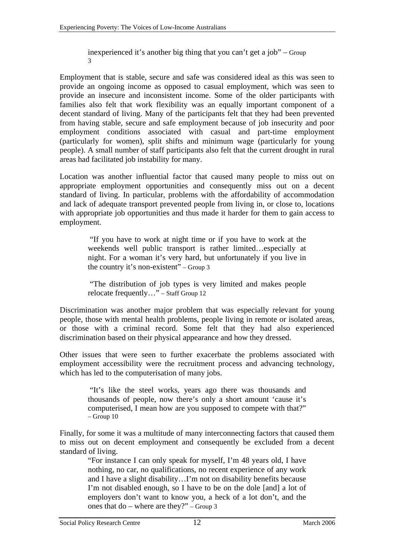inexperienced it's another big thing that you can't get a job" – Group 3

Employment that is stable, secure and safe was considered ideal as this was seen to provide an ongoing income as opposed to casual employment, which was seen to provide an insecure and inconsistent income. Some of the older participants with families also felt that work flexibility was an equally important component of a decent standard of living. Many of the participants felt that they had been prevented from having stable, secure and safe employment because of job insecurity and poor employment conditions associated with casual and part-time employment (particularly for women), split shifts and minimum wage (particularly for young people). A small number of staff participants also felt that the current drought in rural areas had facilitated job instability for many.

Location was another influential factor that caused many people to miss out on appropriate employment opportunities and consequently miss out on a decent standard of living. In particular, problems with the affordability of accommodation and lack of adequate transport prevented people from living in, or close to, locations with appropriate job opportunities and thus made it harder for them to gain access to employment.

> "If you have to work at night time or if you have to work at the weekends well public transport is rather limited…especially at night. For a woman it's very hard, but unfortunately if you live in the country it's non-existent" – Group 3

> "The distribution of job types is very limited and makes people relocate frequently…" – Staff Group 12

Discrimination was another major problem that was especially relevant for young people, those with mental health problems, people living in remote or isolated areas, or those with a criminal record. Some felt that they had also experienced discrimination based on their physical appearance and how they dressed.

Other issues that were seen to further exacerbate the problems associated with employment accessibility were the recruitment process and advancing technology, which has led to the computerisation of many jobs.

> "It's like the steel works, years ago there was thousands and thousands of people, now there's only a short amount 'cause it's computerised, I mean how are you supposed to compete with that?"  $-$  Group 10

Finally, for some it was a multitude of many interconnecting factors that caused them to miss out on decent employment and consequently be excluded from a decent standard of living.

"For instance I can only speak for myself, I'm 48 years old, I have nothing, no car, no qualifications, no recent experience of any work and I have a slight disability…I'm not on disability benefits because I'm not disabled enough, so I have to be on the dole [and] a lot of employers don't want to know you, a heck of a lot don't, and the ones that do – where are they?" – Group 3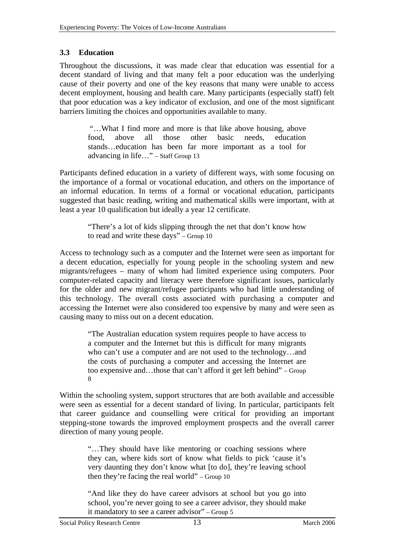### <span id="page-15-1"></span><span id="page-15-0"></span>**3.3 Education**

Throughout the discussions, it was made clear that education was essential for a decent standard of living and that many felt a poor education was the underlying cause of their poverty and one of the key reasons that many were unable to access decent employment, housing and health care. Many participants (especially staff) felt that poor education was a key indicator of exclusion, and one of the most significant barriers limiting the choices and opportunities available to many.

> "…What I find more and more is that like above housing, above food, above all those other basic needs, education stands…education has been far more important as a tool for advancing in life…" – Staff Group 13

Participants defined education in a variety of different ways, with some focusing on the importance of a formal or vocational education, and others on the importance of an informal education. In terms of a formal or vocational education, participants suggested that basic reading, writing and mathematical skills were important, with at least a year 10 qualification but ideally a year 12 certificate.

> "There's a lot of kids slipping through the net that don't know how to read and write these days" – Group 10

Access to technology such as a computer and the Internet were seen as important for a decent education, especially for young people in the schooling system and new migrants/refugees – many of whom had limited experience using computers. Poor computer-related capacity and literacy were therefore significant issues, particularly for the older and new migrant/refugee participants who had little understanding of this technology. The overall costs associated with purchasing a computer and accessing the Internet were also considered too expensive by many and were seen as causing many to miss out on a decent education.

> "The Australian education system requires people to have access to a computer and the Internet but this is difficult for many migrants who can't use a computer and are not used to the technology…and the costs of purchasing a computer and accessing the Internet are too expensive and…those that can't afford it get left behind" – Group 8

Within the schooling system, support structures that are both available and accessible were seen as essential for a decent standard of living. In particular, participants felt that career guidance and counselling were critical for providing an important stepping-stone towards the improved employment prospects and the overall career direction of many young people.

> "…They should have like mentoring or coaching sessions where they can, where kids sort of know what fields to pick 'cause it's very daunting they don't know what [to do], they're leaving school then they're facing the real world" – Group 10

> "And like they do have career advisors at school but you go into school, you're never going to see a career advisor, they should make it mandatory to see a career advisor" – Group 5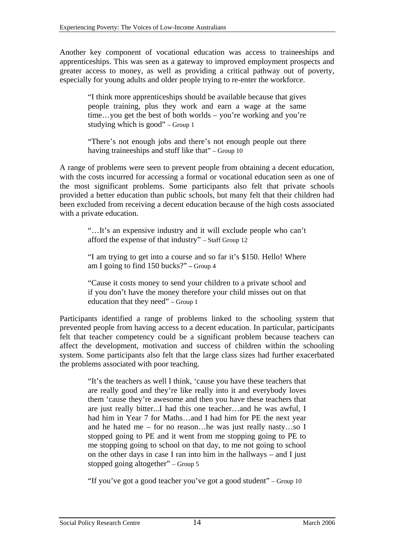Another key component of vocational education was access to traineeships and apprenticeships. This was seen as a gateway to improved employment prospects and greater access to money, as well as providing a critical pathway out of poverty, especially for young adults and older people trying to re-enter the workforce.

> "I think more apprenticeships should be available because that gives people training, plus they work and earn a wage at the same time…you get the best of both worlds – you're working and you're studying which is good" – Group 1

> "There's not enough jobs and there's not enough people out there having traineeships and stuff like that" – Group 10

A range of problems were seen to prevent people from obtaining a decent education, with the costs incurred for accessing a formal or vocational education seen as one of the most significant problems. Some participants also felt that private schools provided a better education than public schools, but many felt that their children had been excluded from receiving a decent education because of the high costs associated with a private education.

> "…It's an expensive industry and it will exclude people who can't afford the expense of that industry" – Staff Group 12

> "I am trying to get into a course and so far it's \$150. Hello! Where am I going to find 150 bucks?" **–** Group 4

> "Cause it costs money to send your children to a private school and if you don't have the money therefore your child misses out on that education that they need" – Group 1

Participants identified a range of problems linked to the schooling system that prevented people from having access to a decent education. In particular, participants felt that teacher competency could be a significant problem because teachers can affect the development, motivation and success of children within the schooling system. Some participants also felt that the large class sizes had further exacerbated the problems associated with poor teaching.

> "It's the teachers as well I think, 'cause you have these teachers that are really good and they're like really into it and everybody loves them 'cause they're awesome and then you have these teachers that are just really bitter...I had this one teacher…and he was awful, I had him in Year 7 for Maths...and I had him for PE the next year and he hated me – for no reason…he was just really nasty…so I stopped going to PE and it went from me stopping going to PE to me stopping going to school on that day, to me not going to school on the other days in case I ran into him in the hallways – and I just stopped going altogether" – Group 5

"If you've got a good teacher you've got a good student" – Group 10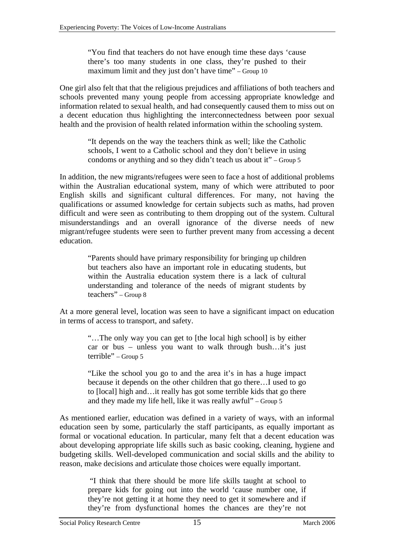"You find that teachers do not have enough time these days 'cause there's too many students in one class, they're pushed to their maximum limit and they just don't have time" – Group 10

One girl also felt that that the religious prejudices and affiliations of both teachers and schools prevented many young people from accessing appropriate knowledge and information related to sexual health, and had consequently caused them to miss out on a decent education thus highlighting the interconnectedness between poor sexual health and the provision of health related information within the schooling system.

> "It depends on the way the teachers think as well; like the Catholic schools, I went to a Catholic school and they don't believe in using condoms or anything and so they didn't teach us about it" – Group 5

In addition, the new migrants/refugees were seen to face a host of additional problems within the Australian educational system, many of which were attributed to poor English skills and significant cultural differences. For many, not having the qualifications or assumed knowledge for certain subjects such as maths, had proven difficult and were seen as contributing to them dropping out of the system. Cultural misunderstandings and an overall ignorance of the diverse needs of new migrant/refugee students were seen to further prevent many from accessing a decent education.

"Parents should have primary responsibility for bringing up children but teachers also have an important role in educating students, but within the Australia education system there is a lack of cultural understanding and tolerance of the needs of migrant students by teachers" – Group 8

At a more general level, location was seen to have a significant impact on education in terms of access to transport, and safety.

> "…The only way you can get to [the local high school] is by either car or bus – unless you want to walk through bush…it's just terrible" – Group 5

> "Like the school you go to and the area it's in has a huge impact because it depends on the other children that go there…I used to go to [local] high and…it really has got some terrible kids that go there and they made my life hell, like it was really awful" – Group 5

As mentioned earlier, education was defined in a variety of ways, with an informal education seen by some, particularly the staff participants, as equally important as formal or vocational education. In particular, many felt that a decent education was about developing appropriate life skills such as basic cooking, cleaning, hygiene and budgeting skills. Well-developed communication and social skills and the ability to reason, make decisions and articulate those choices were equally important.

> "I think that there should be more life skills taught at school to prepare kids for going out into the world 'cause number one, if they're not getting it at home they need to get it somewhere and if they're from dysfunctional homes the chances are they're not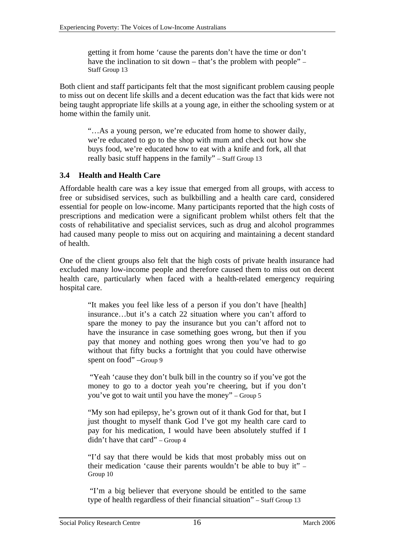<span id="page-18-0"></span>getting it from home 'cause the parents don't have the time or don't have the inclination to sit down – that's the problem with people" – Staff Group 13

Both client and staff participants felt that the most significant problem causing people to miss out on decent life skills and a decent education was the fact that kids were not being taught appropriate life skills at a young age, in either the schooling system or at home within the family unit.

> "…As a young person, we're educated from home to shower daily, we're educated to go to the shop with mum and check out how she buys food, we're educated how to eat with a knife and fork, all that really basic stuff happens in the family" – Staff Group 13

### <span id="page-18-1"></span>**3.4 Health and Health Care**

Affordable health care was a key issue that emerged from all groups, with access to free or subsidised services, such as bulkbilling and a health care card, considered essential for people on low-income. Many participants reported that the high costs of prescriptions and medication were a significant problem whilst others felt that the costs of rehabilitative and specialist services, such as drug and alcohol programmes had caused many people to miss out on acquiring and maintaining a decent standard of health.

One of the client groups also felt that the high costs of private health insurance had excluded many low-income people and therefore caused them to miss out on decent health care, particularly when faced with a health-related emergency requiring hospital care.

> "It makes you feel like less of a person if you don't have [health] insurance…but it's a catch 22 situation where you can't afford to spare the money to pay the insurance but you can't afford not to have the insurance in case something goes wrong, but then if you pay that money and nothing goes wrong then you've had to go without that fifty bucks a fortnight that you could have otherwise spent on food" –Group 9

> "Yeah 'cause they don't bulk bill in the country so if you've got the money to go to a doctor yeah you're cheering, but if you don't you've got to wait until you have the money" – Group 5

> "My son had epilepsy, he's grown out of it thank God for that, but I just thought to myself thank God I've got my health care card to pay for his medication, I would have been absolutely stuffed if I didn't have that card" – Group 4

> "I'd say that there would be kids that most probably miss out on their medication 'cause their parents wouldn't be able to buy it" – Group 10

> "I'm a big believer that everyone should be entitled to the same type of health regardless of their financial situation" – Staff Group 13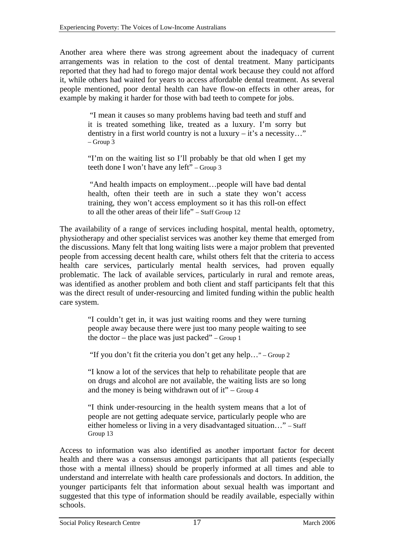Another area where there was strong agreement about the inadequacy of current arrangements was in relation to the cost of dental treatment. Many participants reported that they had had to forego major dental work because they could not afford it, while others had waited for years to access affordable dental treatment. As several people mentioned, poor dental health can have flow-on effects in other areas, for example by making it harder for those with bad teeth to compete for jobs.

> "I mean it causes so many problems having bad teeth and stuff and it is treated something like, treated as a luxury. I'm sorry but dentistry in a first world country is not a luxury – it's a necessity…"  $-$  Group  $\overline{3}$

> "I'm on the waiting list so I'll probably be that old when I get my teeth done I won't have any left" – Group 3

> "And health impacts on employment…people will have bad dental health, often their teeth are in such a state they won't access training, they won't access employment so it has this roll-on effect to all the other areas of their life" – Staff Group 12

The availability of a range of services including hospital, mental health, optometry, physiotherapy and other specialist services was another key theme that emerged from the discussions. Many felt that long waiting lists were a major problem that prevented people from accessing decent health care, whilst others felt that the criteria to access health care services, particularly mental health services, had proven equally problematic. The lack of available services, particularly in rural and remote areas, was identified as another problem and both client and staff participants felt that this was the direct result of under-resourcing and limited funding within the public health care system.

> "I couldn't get in, it was just waiting rooms and they were turning people away because there were just too many people waiting to see the doctor – the place was just packed" – Group 1

"If you don't fit the criteria you don't get any help…" – Group 2

"I know a lot of the services that help to rehabilitate people that are on drugs and alcohol are not available, the waiting lists are so long and the money is being withdrawn out of it" – Group  $4$ 

"I think under-resourcing in the health system means that a lot of people are not getting adequate service, particularly people who are either homeless or living in a very disadvantaged situation…" – Staff Group 13

Access to information was also identified as another important factor for decent health and there was a consensus amongst participants that all patients (especially those with a mental illness) should be properly informed at all times and able to understand and interrelate with health care professionals and doctors. In addition, the younger participants felt that information about sexual health was important and suggested that this type of information should be readily available, especially within schools.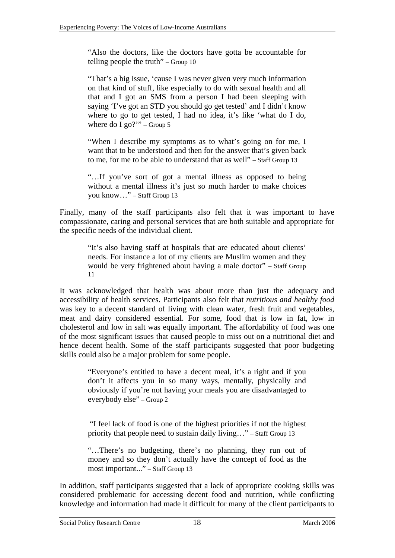"Also the doctors, like the doctors have gotta be accountable for telling people the truth" – Group 10

"That's a big issue, 'cause I was never given very much information on that kind of stuff, like especially to do with sexual health and all that and I got an SMS from a person I had been sleeping with saying 'I've got an STD you should go get tested' and I didn't know where to go to get tested, I had no idea, it's like 'what do I do, where do I go?" – Group 5

"When I describe my symptoms as to what's going on for me, I want that to be understood and then for the answer that's given back to me, for me to be able to understand that as well" – Staff Group 13

"…If you've sort of got a mental illness as opposed to being without a mental illness it's just so much harder to make choices you know…" – Staff Group 13

Finally, many of the staff participants also felt that it was important to have compassionate, caring and personal services that are both suitable and appropriate for the specific needs of the individual client.

> "It's also having staff at hospitals that are educated about clients' needs. For instance a lot of my clients are Muslim women and they would be very frightened about having a male doctor" – Staff Group 11

It was acknowledged that health was about more than just the adequacy and accessibility of health services. Participants also felt that *nutritious and healthy food* was key to a decent standard of living with clean water, fresh fruit and vegetables, meat and dairy considered essential. For some, food that is low in fat, low in cholesterol and low in salt was equally important. The affordability of food was one of the most significant issues that caused people to miss out on a nutritional diet and hence decent health. Some of the staff participants suggested that poor budgeting skills could also be a major problem for some people.

> "Everyone's entitled to have a decent meal, it's a right and if you don't it affects you in so many ways, mentally, physically and obviously if you're not having your meals you are disadvantaged to everybody else" – Group 2

> "I feel lack of food is one of the highest priorities if not the highest priority that people need to sustain daily living…" – Staff Group 13

> "…There's no budgeting, there's no planning, they run out of money and so they don't actually have the concept of food as the most important..." – Staff Group 13

In addition, staff participants suggested that a lack of appropriate cooking skills was considered problematic for accessing decent food and nutrition, while conflicting knowledge and information had made it difficult for many of the client participants to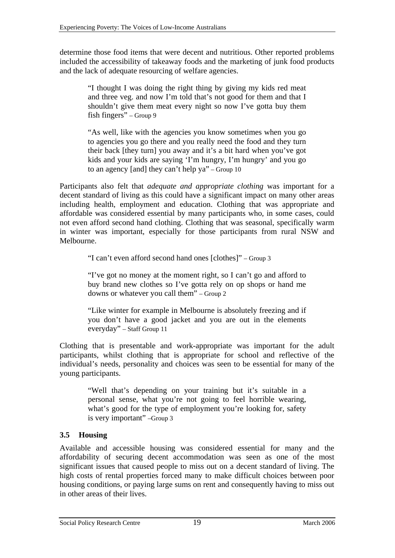<span id="page-21-0"></span>determine those food items that were decent and nutritious. Other reported problems included the accessibility of takeaway foods and the marketing of junk food products and the lack of adequate resourcing of welfare agencies.

> "I thought I was doing the right thing by giving my kids red meat and three veg. and now I'm told that's not good for them and that I shouldn't give them meat every night so now I've gotta buy them fish fingers" – Group 9

> "As well, like with the agencies you know sometimes when you go to agencies you go there and you really need the food and they turn their back [they turn] you away and it's a bit hard when you've got kids and your kids are saying 'I'm hungry, I'm hungry' and you go to an agency [and] they can't help ya" – Group 10

Participants also felt that *adequate and appropriate clothing* was important for a decent standard of living as this could have a significant impact on many other areas including health, employment and education. Clothing that was appropriate and affordable was considered essential by many participants who, in some cases, could not even afford second hand clothing. Clothing that was seasonal, specifically warm in winter was important, especially for those participants from rural NSW and Melbourne.

"I can't even afford second hand ones [clothes]" – Group 3

"I've got no money at the moment right, so I can't go and afford to buy brand new clothes so I've gotta rely on op shops or hand me downs or whatever you call them" – Group 2

"Like winter for example in Melbourne is absolutely freezing and if you don't have a good jacket and you are out in the elements everyday" – Staff Group 11

Clothing that is presentable and work-appropriate was important for the adult participants, whilst clothing that is appropriate for school and reflective of the individual's needs, personality and choices was seen to be essential for many of the young participants.

> "Well that's depending on your training but it's suitable in a personal sense, what you're not going to feel horrible wearing, what's good for the type of employment you're looking for, safety is very important" –Group 3

### <span id="page-21-1"></span>**3.5 Housing**

Available and accessible housing was considered essential for many and the affordability of securing decent accommodation was seen as one of the most significant issues that caused people to miss out on a decent standard of living. The high costs of rental properties forced many to make difficult choices between poor housing conditions, or paying large sums on rent and consequently having to miss out in other areas of their lives.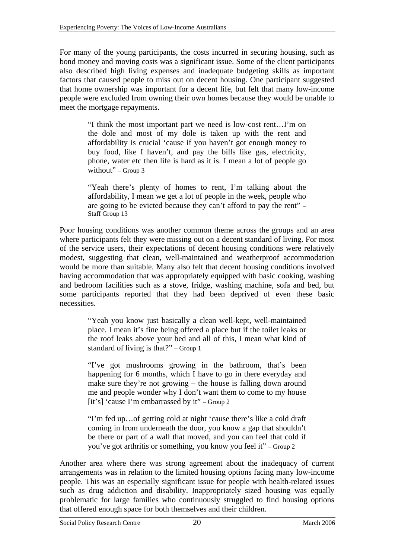For many of the young participants, the costs incurred in securing housing, such as bond money and moving costs was a significant issue. Some of the client participants also described high living expenses and inadequate budgeting skills as important factors that caused people to miss out on decent housing. One participant suggested that home ownership was important for a decent life, but felt that many low-income people were excluded from owning their own homes because they would be unable to meet the mortgage repayments.

> "I think the most important part we need is low-cost rent…I'm on the dole and most of my dole is taken up with the rent and affordability is crucial 'cause if you haven't got enough money to buy food, like I haven't, and pay the bills like gas, electricity, phone, water etc then life is hard as it is. I mean a lot of people go without" – Group  $3$

> "Yeah there's plenty of homes to rent, I'm talking about the affordability, I mean we get a lot of people in the week, people who are going to be evicted because they can't afford to pay the rent" – Staff Group 13

Poor housing conditions was another common theme across the groups and an area where participants felt they were missing out on a decent standard of living. For most of the service users, their expectations of decent housing conditions were relatively modest, suggesting that clean, well-maintained and weatherproof accommodation would be more than suitable. Many also felt that decent housing conditions involved having accommodation that was appropriately equipped with basic cooking, washing and bedroom facilities such as a stove, fridge, washing machine, sofa and bed, but some participants reported that they had been deprived of even these basic necessities.

> "Yeah you know just basically a clean well-kept, well-maintained place. I mean it's fine being offered a place but if the toilet leaks or the roof leaks above your bed and all of this, I mean what kind of standard of living is that?" – Group 1

> "I've got mushrooms growing in the bathroom, that's been happening for 6 months, which I have to go in there everyday and make sure they're not growing – the house is falling down around me and people wonder why I don't want them to come to my house [it's] 'cause I'm embarrassed by it" – Group 2

> "I'm fed up…of getting cold at night 'cause there's like a cold draft coming in from underneath the door, you know a gap that shouldn't be there or part of a wall that moved, and you can feel that cold if you've got arthritis or something, you know you feel it" – Group 2

Another area where there was strong agreement about the inadequacy of current arrangements was in relation to the limited housing options facing many low-income people. This was an especially significant issue for people with health-related issues such as drug addiction and disability. Inappropriately sized housing was equally problematic for large families who continuously struggled to find housing options that offered enough space for both themselves and their children.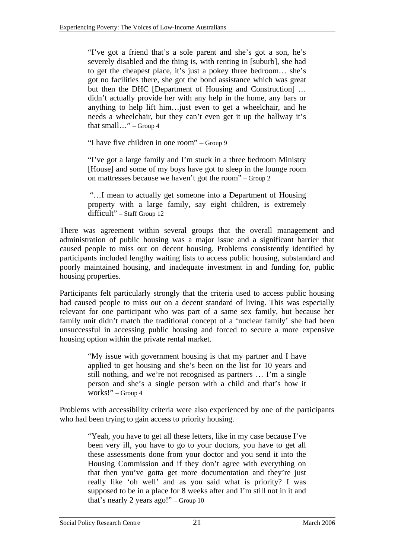"I've got a friend that's a sole parent and she's got a son, he's severely disabled and the thing is, with renting in [suburb], she had to get the cheapest place, it's just a pokey three bedroom… she's got no facilities there, she got the bond assistance which was great but then the DHC [Department of Housing and Construction] … didn't actually provide her with any help in the home, any bars or anything to help lift him…just even to get a wheelchair, and he needs a wheelchair, but they can't even get it up the hallway it's that small..." – Group  $4$ 

"I have five children in one room" – Group 9

"I've got a large family and I'm stuck in a three bedroom Ministry [House] and some of my boys have got to sleep in the lounge room on mattresses because we haven't got the room" – Group 2

 "…I mean to actually get someone into a Department of Housing property with a large family, say eight children, is extremely difficult" – Staff Group 12

There was agreement within several groups that the overall management and administration of public housing was a major issue and a significant barrier that caused people to miss out on decent housing. Problems consistently identified by participants included lengthy waiting lists to access public housing, substandard and poorly maintained housing, and inadequate investment in and funding for, public housing properties.

Participants felt particularly strongly that the criteria used to access public housing had caused people to miss out on a decent standard of living. This was especially relevant for one participant who was part of a same sex family, but because her family unit didn't match the traditional concept of a 'nuclear family' she had been unsuccessful in accessing public housing and forced to secure a more expensive housing option within the private rental market.

> "My issue with government housing is that my partner and I have applied to get housing and she's been on the list for 10 years and still nothing, and we're not recognised as partners … I'm a single person and she's a single person with a child and that's how it works!" – Group 4

Problems with accessibility criteria were also experienced by one of the participants who had been trying to gain access to priority housing.

> "Yeah, you have to get all these letters, like in my case because I've been very ill, you have to go to your doctors, you have to get all these assessments done from your doctor and you send it into the Housing Commission and if they don't agree with everything on that then you've gotta get more documentation and they're just really like 'oh well' and as you said what is priority? I was supposed to be in a place for 8 weeks after and I'm still not in it and that's nearly 2 years ago!" – Group 10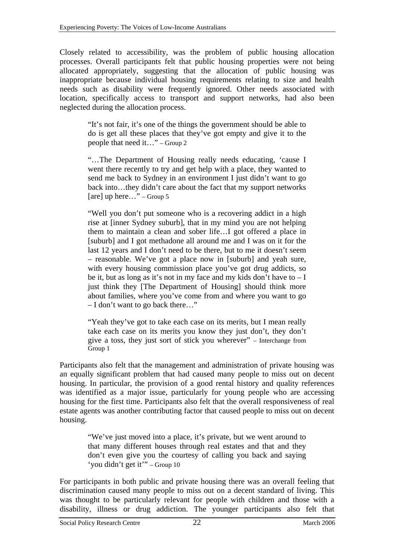Closely related to accessibility, was the problem of public housing allocation processes. Overall participants felt that public housing properties were not being allocated appropriately, suggesting that the allocation of public housing was inappropriate because individual housing requirements relating to size and health needs such as disability were frequently ignored. Other needs associated with location, specifically access to transport and support networks, had also been neglected during the allocation process.

> "It's not fair, it's one of the things the government should be able to do is get all these places that they've got empty and give it to the people that need it..." – Group 2

> "…The Department of Housing really needs educating, 'cause I went there recently to try and get help with a place, they wanted to send me back to Sydney in an environment I just didn't want to go back into…they didn't care about the fact that my support networks [are] up here…" – Group 5

> "Well you don't put someone who is a recovering addict in a high rise at [inner Sydney suburb], that in my mind you are not helping them to maintain a clean and sober life…I got offered a place in [suburb] and I got methadone all around me and I was on it for the last 12 years and I don't need to be there, but to me it doesn't seem – reasonable. We've got a place now in [suburb] and yeah sure, with every housing commission place you've got drug addicts, so be it, but as long as it's not in my face and my kids don't have to  $-I$ just think they [The Department of Housing] should think more about families, where you've come from and where you want to go – I don't want to go back there…"

> "Yeah they've got to take each case on its merits, but I mean really take each case on its merits you know they just don't, they don't give a toss, they just sort of stick you wherever" – Interchange from Group 1

Participants also felt that the management and administration of private housing was an equally significant problem that had caused many people to miss out on decent housing. In particular, the provision of a good rental history and quality references was identified as a major issue, particularly for young people who are accessing housing for the first time. Participants also felt that the overall responsiveness of real estate agents was another contributing factor that caused people to miss out on decent housing.

> "We've just moved into a place, it's private, but we went around to that many different houses through real estates and that and they don't even give you the courtesy of calling you back and saying 'you didn't get it'" – Group 10

For participants in both public and private housing there was an overall feeling that discrimination caused many people to miss out on a decent standard of living. This was thought to be particularly relevant for people with children and those with a disability, illness or drug addiction. The younger participants also felt that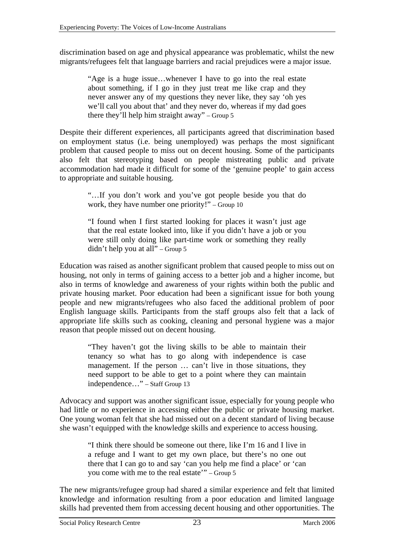discrimination based on age and physical appearance was problematic, whilst the new migrants/refugees felt that language barriers and racial prejudices were a major issue*.* 

> "Age is a huge issue…whenever I have to go into the real estate about something, if I go in they just treat me like crap and they never answer any of my questions they never like, they say 'oh yes we'll call you about that' and they never do, whereas if my dad goes there they'll help him straight away" – Group 5

Despite their different experiences, all participants agreed that discrimination based on employment status (i.e. being unemployed) was perhaps the most significant problem that caused people to miss out on decent housing. Some of the participants also felt that stereotyping based on people mistreating public and private accommodation had made it difficult for some of the 'genuine people' to gain access to appropriate and suitable housing.

> "…If you don't work and you've got people beside you that do work, they have number one priority!" – Group 10

> "I found when I first started looking for places it wasn't just age that the real estate looked into, like if you didn't have a job or you were still only doing like part-time work or something they really didn't help you at all" – Group 5

Education was raised as another significant problem that caused people to miss out on housing, not only in terms of gaining access to a better job and a higher income, but also in terms of knowledge and awareness of your rights within both the public and private housing market. Poor education had been a significant issue for both young people and new migrants/refugees who also faced the additional problem of poor English language skills. Participants from the staff groups also felt that a lack of appropriate life skills such as cooking, cleaning and personal hygiene was a major reason that people missed out on decent housing.

> "They haven't got the living skills to be able to maintain their tenancy so what has to go along with independence is case management. If the person ... can't live in those situations, they need support to be able to get to a point where they can maintain independence…" – Staff Group 13

Advocacy and support was another significant issue, especially for young people who had little or no experience in accessing either the public or private housing market. One young woman felt that she had missed out on a decent standard of living because she wasn't equipped with the knowledge skills and experience to access housing.

> "I think there should be someone out there, like I'm 16 and I live in a refuge and I want to get my own place, but there's no one out there that I can go to and say 'can you help me find a place' or 'can you come with me to the real estate'" – Group 5

The new migrants/refugee group had shared a similar experience and felt that limited knowledge and information resulting from a poor education and limited language skills had prevented them from accessing decent housing and other opportunities. The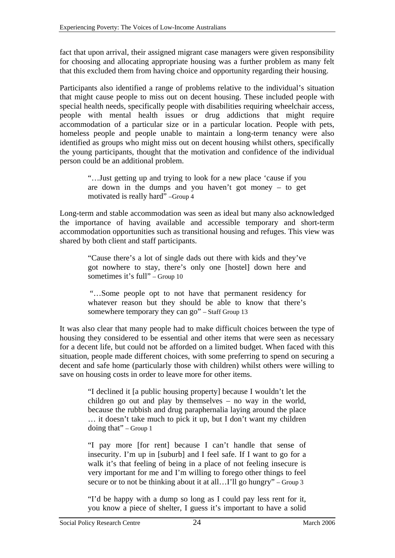fact that upon arrival, their assigned migrant case managers were given responsibility for choosing and allocating appropriate housing was a further problem as many felt that this excluded them from having choice and opportunity regarding their housing.

Participants also identified a range of problems relative to the individual's situation that might cause people to miss out on decent housing. These included people with special health needs, specifically people with disabilities requiring wheelchair access, people with mental health issues or drug addictions that might require accommodation of a particular size or in a particular location. People with pets, homeless people and people unable to maintain a long-term tenancy were also identified as groups who might miss out on decent housing whilst others, specifically the young participants, thought that the motivation and confidence of the individual person could be an additional problem.

> "…Just getting up and trying to look for a new place 'cause if you are down in the dumps and you haven't got money – to get motivated is really hard" –Group 4

Long-term and stable accommodation was seen as ideal but many also acknowledged the importance of having available and accessible temporary and short-term accommodation opportunities such as transitional housing and refuges. This view was shared by both client and staff participants.

> "Cause there's a lot of single dads out there with kids and they've got nowhere to stay, there's only one [hostel] down here and sometimes it's full" – Group 10

> "…Some people opt to not have that permanent residency for whatever reason but they should be able to know that there's somewhere temporary they can go" – Staff Group 13

It was also clear that many people had to make difficult choices between the type of housing they considered to be essential and other items that were seen as necessary for a decent life, but could not be afforded on a limited budget. When faced with this situation, people made different choices, with some preferring to spend on securing a decent and safe home (particularly those with children) whilst others were willing to save on housing costs in order to leave more for other items.

"I declined it [a public housing property] because I wouldn't let the children go out and play by themselves – no way in the world, because the rubbish and drug paraphernalia laying around the place … it doesn't take much to pick it up, but I don't want my children doing that" – Group 1

"I pay more [for rent] because I can't handle that sense of insecurity. I'm up in [suburb] and I feel safe. If I want to go for a walk it's that feeling of being in a place of not feeling insecure is very important for me and I'm willing to forego other things to feel secure or to not be thinking about it at all... I'll go hungry" – Group 3

"I'd be happy with a dump so long as I could pay less rent for it, you know a piece of shelter, I guess it's important to have a solid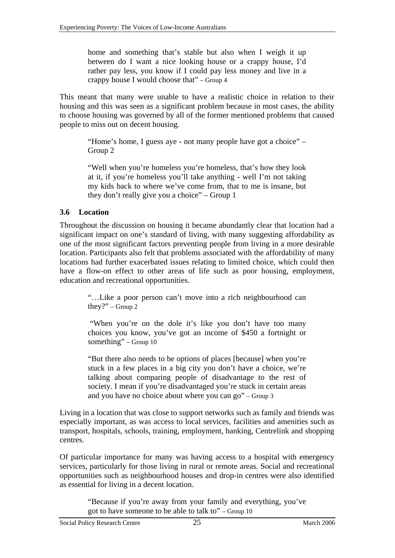<span id="page-27-0"></span>home and something that's stable but also when I weigh it up between do I want a nice looking house or a crappy house, I'd rather pay less, you know if I could pay less money and live in a crappy house I would choose that" – Group 4

This meant that many were unable to have a realistic choice in relation to their housing and this was seen as a significant problem because in most cases, the ability to choose housing was governed by all of the former mentioned problems that caused people to miss out on decent housing.

> "Home's home, I guess aye - not many people have got a choice" – Group 2

> "Well when you're homeless you're homeless, that's how they look at it, if you're homeless you'll take anything - well I'm not taking my kids back to where we've come from, that to me is insane, but they don't really give you a choice" – Group 1

### **3.6 Location**

Throughout the discussion on housing it became abundantly clear that location had a significant impact on one's standard of living, with many suggesting affordability as one of the most significant factors preventing people from living in a more desirable location. Participants also felt that problems associated with the affordability of many locations had further exacerbated issues relating to limited choice, which could then have a flow-on effect to other areas of life such as poor housing, employment, education and recreational opportunities.

> "…Like a poor person can't move into a rich neighbourhood can they?" – Group 2

> "When you're on the dole it's like you don't have too many choices you know, you've got an income of \$450 a fortnight or something" – Group 10

> "But there also needs to be options of places [because] when you're stuck in a few places in a big city you don't have a choice, we're talking about comparing people of disadvantage to the rest of society. I mean if you're disadvantaged you're stuck in certain areas and you have no choice about where you can go" – Group 3

Living in a location that was close to support networks such as family and friends was especially important, as was access to local services, facilities and amenities such as transport, hospitals, schools, training, employment, banking, Centrelink and shopping centres.

Of particular importance for many was having access to a hospital with emergency services, particularly for those living in rural or remote areas. Social and recreational opportunities such as neighbourhood houses and drop-in centres were also identified as essential for living in a decent location.

> "Because if you're away from your family and everything, you've got to have someone to be able to talk to" – Group 10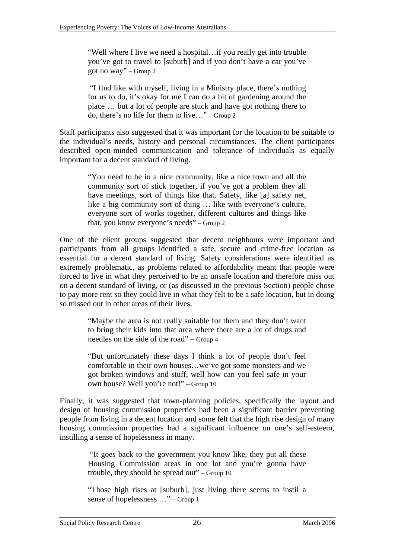"Well where I live we need a hospital…if you really get into trouble you've got to travel to [suburb] and if you don't have a car you've got no way" – Group 2

 "I find like with myself, living in a Ministry place, there's nothing for us to do, it's okay for me I can do a bit of gardening around the place … but a lot of people are stuck and have got nothing there to do, there's no life for them to live…" – Group 2

Staff participants also suggested that it was important for the location to be suitable to the individual's needs, history and personal circumstances. The client participants described open-minded communication and tolerance of individuals as equally important for a decent standard of living.

"You need to be in a nice community, like a nice town and all the community sort of stick together, if you've got a problem they all have meetings, sort of things like that. Safety, like [a] safety net, like a big community sort of thing … like with everyone's culture, everyone sort of works together, different cultures and things like that, you know everyone's needs" – Group 2

One of the client groups suggested that decent neighbours were important and participants from all groups identified a safe, secure and crime-free location as essential for a decent standard of living. Safety considerations were identified as extremely problematic, as problems related to affordability meant that people were forced to live in what they perceived to be an unsafe location and therefore miss out on a decent standard of living, or (as discussed in the previous Section) people chose to pay more rent so they could live in what they felt to be a safe location, but in doing so missed out in other areas of their lives.

> "Maybe the area is not really suitable for them and they don't want to bring their kids into that area where there are a lot of drugs and needles on the side of the road" – Group 4

> "But unfortunately these days I think a lot of people don't feel comfortable in their own houses…we've got some monsters and we got broken windows and stuff, well how can you feel safe in your own house? Well you're not!" – Group 10

Finally, it was suggested that town-planning policies, specifically the layout and design of housing commission properties had been a significant barrier preventing people from living in a decent location and some felt that the high rise design of many housing commission properties had a significant influence on one's self-esteem, instilling a sense of hopelessness in many.

> "It goes back to the government you know like, they put all these Housing Commission areas in one lot and you're gonna have trouble, they should be spread out" – Group 10

> "Those high rises at [suburb], just living there seems to instil a sense of hopelessness …" – Group 1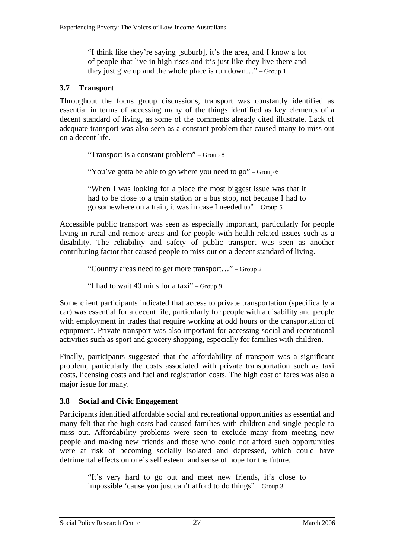<span id="page-29-0"></span>"I think like they're saying [suburb], it's the area, and I know a lot of people that live in high rises and it's just like they live there and they just give up and the whole place is run down…" – Group 1

#### **3.7 Transport**

Throughout the focus group discussions, transport was constantly identified as essential in terms of accessing many of the things identified as key elements of a decent standard of living, as some of the comments already cited illustrate. Lack of adequate transport was also seen as a constant problem that caused many to miss out on a decent life.

"Transport is a constant problem" – Group 8

"You've gotta be able to go where you need to go" – Group 6

"When I was looking for a place the most biggest issue was that it had to be close to a train station or a bus stop, not because I had to go somewhere on a train, it was in case I needed to" – Group 5

Accessible public transport was seen as especially important, particularly for people living in rural and remote areas and for people with health-related issues such as a disability. The reliability and safety of public transport was seen as another contributing factor that caused people to miss out on a decent standard of living.

"Country areas need to get more transport…" – Group 2

"I had to wait 40 mins for a taxi" – Group 9

Some client participants indicated that access to private transportation (specifically a car) was essential for a decent life, particularly for people with a disability and people with employment in trades that require working at odd hours or the transportation of equipment. Private transport was also important for accessing social and recreational activities such as sport and grocery shopping, especially for families with children.

Finally, participants suggested that the affordability of transport was a significant problem, particularly the costs associated with private transportation such as taxi costs, licensing costs and fuel and registration costs. The high cost of fares was also a major issue for many.

#### **3.8 Social and Civic Engagement**

Participants identified affordable social and recreational opportunities as essential and many felt that the high costs had caused families with children and single people to miss out. Affordability problems were seen to exclude many from meeting new people and making new friends and those who could not afford such opportunities were at risk of becoming socially isolated and depressed, which could have detrimental effects on one's self esteem and sense of hope for the future.

> "It's very hard to go out and meet new friends, it's close to impossible 'cause you just can't afford to do things" – Group 3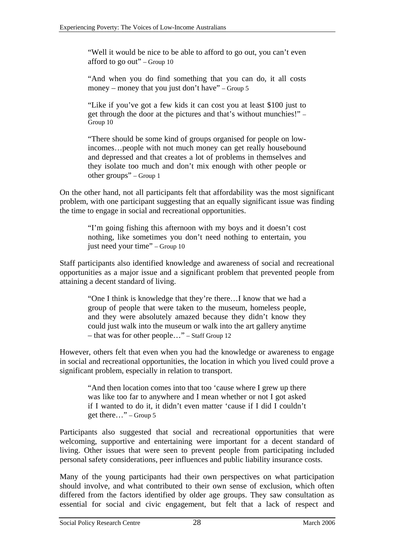"Well it would be nice to be able to afford to go out, you can't even afford to go out" – Group 10

"And when you do find something that you can do, it all costs money – money that you just don't have" – Group 5

"Like if you've got a few kids it can cost you at least \$100 just to get through the door at the pictures and that's without munchies!" – Group 10

"There should be some kind of groups organised for people on lowincomes…people with not much money can get really housebound and depressed and that creates a lot of problems in themselves and they isolate too much and don't mix enough with other people or other groups" – Group 1

On the other hand, not all participants felt that affordability was the most significant problem, with one participant suggesting that an equally significant issue was finding the time to engage in social and recreational opportunities.

> "I'm going fishing this afternoon with my boys and it doesn't cost nothing, like sometimes you don't need nothing to entertain, you just need your time" – Group 10

Staff participants also identified knowledge and awareness of social and recreational opportunities as a major issue and a significant problem that prevented people from attaining a decent standard of living.

"One I think is knowledge that they're there…I know that we had a group of people that were taken to the museum, homeless people, and they were absolutely amazed because they didn't know they could just walk into the museum or walk into the art gallery anytime – that was for other people…" – Staff Group 12

However, others felt that even when you had the knowledge or awareness to engage in social and recreational opportunities, the location in which you lived could prove a significant problem, especially in relation to transport.

> "And then location comes into that too 'cause where I grew up there was like too far to anywhere and I mean whether or not I got asked if I wanted to do it, it didn't even matter 'cause if I did I couldn't get there…" – Group 5

Participants also suggested that social and recreational opportunities that were welcoming, supportive and entertaining were important for a decent standard of living. Other issues that were seen to prevent people from participating included personal safety considerations, peer influences and public liability insurance costs.

Many of the young participants had their own perspectives on what participation should involve, and what contributed to their own sense of exclusion, which often differed from the factors identified by older age groups. They saw consultation as essential for social and civic engagement, but felt that a lack of respect and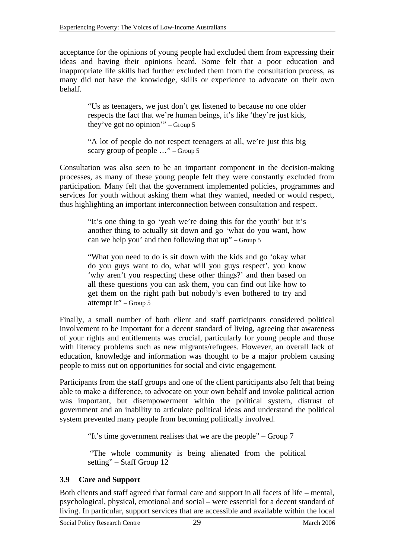<span id="page-31-0"></span>acceptance for the opinions of young people had excluded them from expressing their ideas and having their opinions heard. Some felt that a poor education and inappropriate life skills had further excluded them from the consultation process, as many did not have the knowledge, skills or experience to advocate on their own behalf.

> "Us as teenagers, we just don't get listened to because no one older respects the fact that we're human beings, it's like 'they're just kids, they've got no opinion'" – Group 5

> "A lot of people do not respect teenagers at all, we're just this big scary group of people  $\ldots$ " – Group 5

Consultation was also seen to be an important component in the decision-making processes, as many of these young people felt they were constantly excluded from participation. Many felt that the government implemented policies, programmes and services for youth without asking them what they wanted, needed or would respect, thus highlighting an important interconnection between consultation and respect.

> "It's one thing to go 'yeah we're doing this for the youth' but it's another thing to actually sit down and go 'what do you want, how can we help you' and then following that up" – Group 5

> "What you need to do is sit down with the kids and go 'okay what do you guys want to do, what will you guys respect', you know 'why aren't you respecting these other things?' and then based on all these questions you can ask them, you can find out like how to get them on the right path but nobody's even bothered to try and attempt it" – Group 5

Finally, a small number of both client and staff participants considered political involvement to be important for a decent standard of living, agreeing that awareness of your rights and entitlements was crucial, particularly for young people and those with literacy problems such as new migrants/refugees. However, an overall lack of education, knowledge and information was thought to be a major problem causing people to miss out on opportunities for social and civic engagement.

Participants from the staff groups and one of the client participants also felt that being able to make a difference, to advocate on your own behalf and invoke political action was important, but disempowerment within the political system, distrust of government and an inability to articulate political ideas and understand the political system prevented many people from becoming politically involved.

"It's time government realises that we are the people" – Group 7

 "The whole community is being alienated from the political setting" – Staff Group 12

### **3.9 Care and Support**

Both clients and staff agreed that formal care and support in all facets of life – mental, psychological, physical, emotional and social – were essential for a decent standard of living. In particular, support services that are accessible and available within the local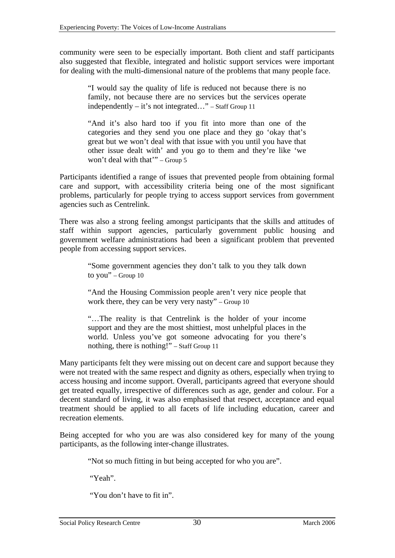community were seen to be especially important. Both client and staff participants also suggested that flexible, integrated and holistic support services were important for dealing with the multi-dimensional nature of the problems that many people face.

> "I would say the quality of life is reduced not because there is no family, not because there are no services but the services operate independently – it's not integrated…" – Staff Group 11

> "And it's also hard too if you fit into more than one of the categories and they send you one place and they go 'okay that's great but we won't deal with that issue with you until you have that other issue dealt with' and you go to them and they're like 'we won't deal with that'" – Group 5

Participants identified a range of issues that prevented people from obtaining formal care and support, with accessibility criteria being one of the most significant problems, particularly for people trying to access support services from government agencies such as Centrelink.

There was also a strong feeling amongst participants that the skills and attitudes of staff within support agencies, particularly government public housing and government welfare administrations had been a significant problem that prevented people from accessing support services.

> "Some government agencies they don't talk to you they talk down to you" – Group  $10$

> "And the Housing Commission people aren't very nice people that work there, they can be very very nasty" – Group  $10$

> "…The reality is that Centrelink is the holder of your income support and they are the most shittiest, most unhelpful places in the world. Unless you've got someone advocating for you there's nothing, there is nothing!" – Staff Group 11

Many participants felt they were missing out on decent care and support because they were not treated with the same respect and dignity as others, especially when trying to access housing and income support. Overall, participants agreed that everyone should get treated equally, irrespective of differences such as age, gender and colour. For a decent standard of living, it was also emphasised that respect, acceptance and equal treatment should be applied to all facets of life including education, career and recreation elements.

Being accepted for who you are was also considered key for many of the young participants, as the following inter-change illustrates.

"Not so much fitting in but being accepted for who you are".

"Yeah".

"You don't have to fit in".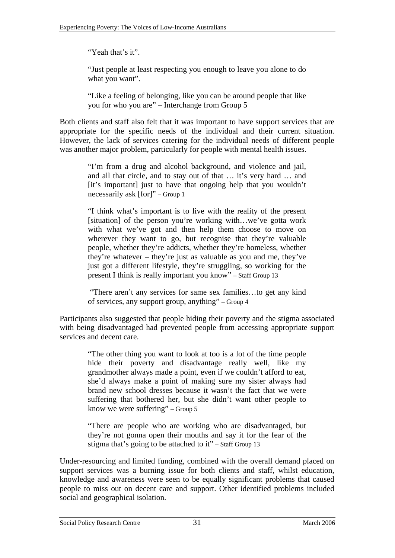"Yeah that's it".

"Just people at least respecting you enough to leave you alone to do what you want".

"Like a feeling of belonging, like you can be around people that like you for who you are" – Interchange from Group 5

Both clients and staff also felt that it was important to have support services that are appropriate for the specific needs of the individual and their current situation. However, the lack of services catering for the individual needs of different people was another major problem, particularly for people with mental health issues.

> "I'm from a drug and alcohol background, and violence and jail, and all that circle, and to stay out of that … it's very hard … and [it's important] just to have that ongoing help that you wouldn't necessarily ask [for]" – Group 1

> "I think what's important is to live with the reality of the present [situation] of the person you're working with...we've gotta work with what we've got and then help them choose to move on wherever they want to go, but recognise that they're valuable people, whether they're addicts, whether they're homeless, whether they're whatever – they're just as valuable as you and me, they've just got a different lifestyle, they're struggling, so working for the present I think is really important you know" – Staff Group 13

> "There aren't any services for same sex families…to get any kind of services, any support group, anything" – Group 4

Participants also suggested that people hiding their poverty and the stigma associated with being disadvantaged had prevented people from accessing appropriate support services and decent care.

"The other thing you want to look at too is a lot of the time people hide their poverty and disadvantage really well, like my grandmother always made a point, even if we couldn't afford to eat, she'd always make a point of making sure my sister always had brand new school dresses because it wasn't the fact that we were suffering that bothered her, but she didn't want other people to know we were suffering" – Group 5

"There are people who are working who are disadvantaged, but they're not gonna open their mouths and say it for the fear of the stigma that's going to be attached to it" – Staff Group 13

Under-resourcing and limited funding, combined with the overall demand placed on support services was a burning issue for both clients and staff, whilst education, knowledge and awareness were seen to be equally significant problems that caused people to miss out on decent care and support. Other identified problems included social and geographical isolation.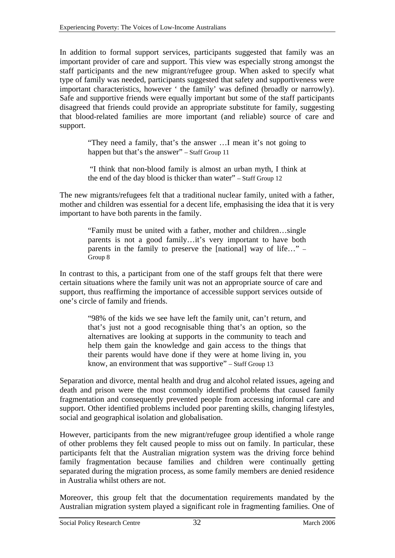In addition to formal support services, participants suggested that family was an important provider of care and support. This view was especially strong amongst the staff participants and the new migrant/refugee group. When asked to specify what type of family was needed, participants suggested that safety and supportiveness were important characteristics, however ' the family' was defined (broadly or narrowly). Safe and supportive friends were equally important but some of the staff participants disagreed that friends could provide an appropriate substitute for family, suggesting that blood-related families are more important (and reliable) source of care and support.

> "They need a family, that's the answer …I mean it's not going to happen but that's the answer" – Staff Group 11

> "I think that non-blood family is almost an urban myth, I think at the end of the day blood is thicker than water" – Staff Group 12

The new migrants/refugees felt that a traditional nuclear family, united with a father, mother and children was essential for a decent life, emphasising the idea that it is very important to have both parents in the family.

> "Family must be united with a father, mother and children…single parents is not a good family…it's very important to have both parents in the family to preserve the [national] way of life…" – Group 8

In contrast to this, a participant from one of the staff groups felt that there were certain situations where the family unit was not an appropriate source of care and support, thus reaffirming the importance of accessible support services outside of one's circle of family and friends.

> "98% of the kids we see have left the family unit, can't return, and that's just not a good recognisable thing that's an option, so the alternatives are looking at supports in the community to teach and help them gain the knowledge and gain access to the things that their parents would have done if they were at home living in, you know, an environment that was supportive" – Staff Group 13

Separation and divorce, mental health and drug and alcohol related issues, ageing and death and prison were the most commonly identified problems that caused family fragmentation and consequently prevented people from accessing informal care and support. Other identified problems included poor parenting skills, changing lifestyles, social and geographical isolation and globalisation.

However, participants from the new migrant/refugee group identified a whole range of other problems they felt caused people to miss out on family. In particular, these participants felt that the Australian migration system was the driving force behind family fragmentation because families and children were continually getting separated during the migration process, as some family members are denied residence in Australia whilst others are not.

Moreover, this group felt that the documentation requirements mandated by the Australian migration system played a significant role in fragmenting families. One of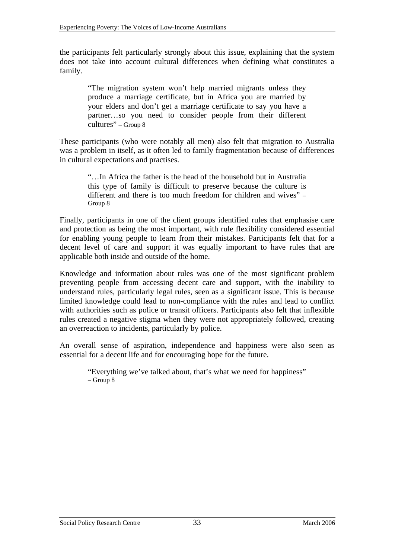the participants felt particularly strongly about this issue, explaining that the system does not take into account cultural differences when defining what constitutes a family.

> "The migration system won't help married migrants unless they produce a marriage certificate, but in Africa you are married by your elders and don't get a marriage certificate to say you have a partner…so you need to consider people from their different cultures" – Group 8

These participants (who were notably all men) also felt that migration to Australia was a problem in itself, as it often led to family fragmentation because of differences in cultural expectations and practises.

> "…In Africa the father is the head of the household but in Australia this type of family is difficult to preserve because the culture is different and there is too much freedom for children and wives" – Group 8

Finally, participants in one of the client groups identified rules that emphasise care and protection as being the most important, with rule flexibility considered essential for enabling young people to learn from their mistakes. Participants felt that for a decent level of care and support it was equally important to have rules that are applicable both inside and outside of the home.

Knowledge and information about rules was one of the most significant problem preventing people from accessing decent care and support, with the inability to understand rules, particularly legal rules, seen as a significant issue. This is because limited knowledge could lead to non-compliance with the rules and lead to conflict with authorities such as police or transit officers. Participants also felt that inflexible rules created a negative stigma when they were not appropriately followed, creating an overreaction to incidents, particularly by police.

An overall sense of aspiration, independence and happiness were also seen as essential for a decent life and for encouraging hope for the future.

> "Everything we've talked about, that's what we need for happiness"  $-$  Group  $8$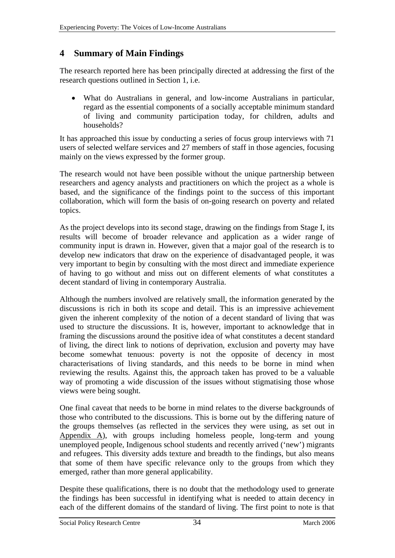### <span id="page-36-0"></span>**4 Summary of Main Findings**

The research reported here has been principally directed at addressing the first of the research questions outlined in Section 1, i.e.

• What do Australians in general, and low-income Australians in particular, regard as the essential components of a socially acceptable minimum standard of living and community participation today, for children, adults and households?

It has approached this issue by conducting a series of focus group interviews with 71 users of selected welfare services and 27 members of staff in those agencies, focusing mainly on the views expressed by the former group.

The research would not have been possible without the unique partnership between researchers and agency analysts and practitioners on which the project as a whole is based, and the significance of the findings point to the success of this important collaboration, which will form the basis of on-going research on poverty and related topics.

As the project develops into its second stage, drawing on the findings from Stage I, its results will become of broader relevance and application as a wider range of community input is drawn in. However, given that a major goal of the research is to develop new indicators that draw on the experience of disadvantaged people, it was very important to begin by consulting with the most direct and immediate experience of having to go without and miss out on different elements of what constitutes a decent standard of living in contemporary Australia.

Although the numbers involved are relatively small, the information generated by the discussions is rich in both its scope and detail. This is an impressive achievement given the inherent complexity of the notion of a decent standard of living that was used to structure the discussions. It is, however, important to acknowledge that in framing the discussions around the positive idea of what constitutes a decent standard of living, the direct link to notions of deprivation, exclusion and poverty may have become somewhat tenuous: poverty is not the opposite of decency in most characterisations of living standards, and this needs to be borne in mind when reviewing the results. Against this, the approach taken has proved to be a valuable way of promoting a wide discussion of the issues without stigmatising those whose views were being sought.

One final caveat that needs to be borne in mind relates to the diverse backgrounds of those who contributed to the discussions. This is borne out by the differing nature of the groups themselves (as reflected in the services they were using, as set out in Appendix A), with groups including homeless people, long-term and young unemployed people, Indigenous school students and recently arrived ('new') migrants and refugees. This diversity adds texture and breadth to the findings, but also means that some of them have specific relevance only to the groups from which they emerged, rather than more general applicability.

Despite these qualifications, there is no doubt that the methodology used to generate the findings has been successful in identifying what is needed to attain decency in each of the different domains of the standard of living. The first point to note is that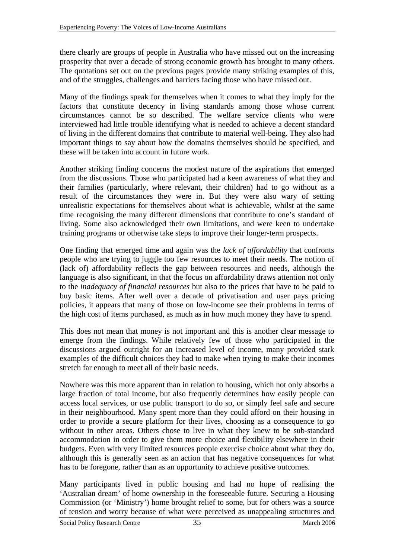there clearly are groups of people in Australia who have missed out on the increasing prosperity that over a decade of strong economic growth has brought to many others. The quotations set out on the previous pages provide many striking examples of this, and of the struggles, challenges and barriers facing those who have missed out.

Many of the findings speak for themselves when it comes to what they imply for the factors that constitute decency in living standards among those whose current circumstances cannot be so described. The welfare service clients who were interviewed had little trouble identifying what is needed to achieve a decent standard of living in the different domains that contribute to material well-being. They also had important things to say about how the domains themselves should be specified, and these will be taken into account in future work.

Another striking finding concerns the modest nature of the aspirations that emerged from the discussions. Those who participated had a keen awareness of what they and their families (particularly, where relevant, their children) had to go without as a result of the circumstances they were in. But they were also wary of setting unrealistic expectations for themselves about what is achievable, whilst at the same time recognising the many different dimensions that contribute to one's standard of living. Some also acknowledged their own limitations, and were keen to undertake training programs or otherwise take steps to improve their longer-term prospects.

One finding that emerged time and again was the *lack of affordability* that confronts people who are trying to juggle too few resources to meet their needs. The notion of (lack of) affordability reflects the gap between resources and needs, although the language is also significant, in that the focus on affordability draws attention not only to the *inadequacy of financial resources* but also to the prices that have to be paid to buy basic items. After well over a decade of privatisation and user pays pricing policies, it appears that many of those on low-income see their problems in terms of the high cost of items purchased, as much as in how much money they have to spend.

This does not mean that money is not important and this is another clear message to emerge from the findings. While relatively few of those who participated in the discussions argued outright for an increased level of income, many provided stark examples of the difficult choices they had to make when trying to make their incomes stretch far enough to meet all of their basic needs.

Nowhere was this more apparent than in relation to housing, which not only absorbs a large fraction of total income, but also frequently determines how easily people can access local services, or use public transport to do so, or simply feel safe and secure in their neighbourhood. Many spent more than they could afford on their housing in order to provide a secure platform for their lives, choosing as a consequence to go without in other areas. Others chose to live in what they knew to be sub-standard accommodation in order to give them more choice and flexibility elsewhere in their budgets. Even with very limited resources people exercise choice about what they do, although this is generally seen as an action that has negative consequences for what has to be foregone, rather than as an opportunity to achieve positive outcomes.

Many participants lived in public housing and had no hope of realising the 'Australian dream' of home ownership in the foreseeable future. Securing a Housing Commission (or 'Ministry') home brought relief to some, but for others was a source of tension and worry because of what were perceived as unappealing structures and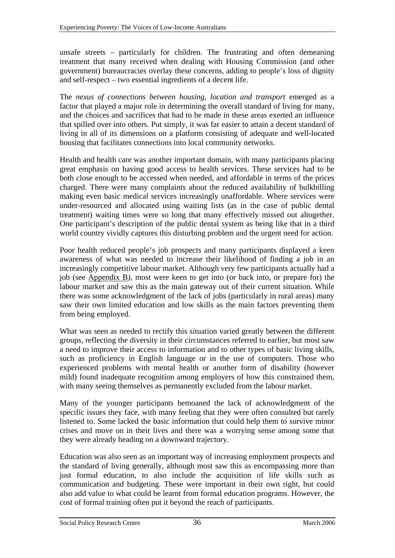unsafe streets – particularly for children. The frustrating and often demeaning treatment that many received when dealing with Housing Commission (and other government) bureaucracies overlay these concerns, adding to people's loss of dignity and self-respect – two essential ingredients of a decent life.

The *nexus of connections between housing, location and transport* emerged as a factor that played a major role in determining the overall standard of living for many, and the choices and sacrifices that had to be made in these areas exerted an influence that spilled over into others. Put simply, it was far easier to attain a decent standard of living in all of its dimensions on a platform consisting of adequate and well-located housing that facilitates connections into local community networks.

Health and health care was another important domain, with many participants placing great emphasis on having good access to health services. These services had to be both close enough to be accessed when needed, and affordable in terms of the prices charged. There were many complaints about the reduced availability of bulkbilling making even basic medical services increasingly unaffordable. Where services were under-resourced and allocated using waiting lists (as in the case of public dental treatment) waiting times were so long that many effectively missed out altogether. One participant's description of the public dental system as being like that in a third world country vividly captures this disturbing problem and the urgent need for action.

Poor health reduced people's job prospects and many participants displayed a keen awareness of what was needed to increase their likelihood of finding a job in an increasingly competitive labour market. Although very few participants actually had a job (see Appendix B*),* most were keen to get into (or back into, or prepare for) the labour market and saw this as the main gateway out of their current situation. While there was some acknowledgment of the lack of jobs (particularly in rural areas) many saw their own limited education and low skills as the main factors preventing them from being employed.

What was seen as needed to rectify this situation varied greatly between the different groups, reflecting the diversity in their circumstances referred to earlier, but most saw a need to improve their access to information and to other types of basic living skills, such as proficiency in English language or in the use of computers. Those who experienced problems with mental health or another form of disability (however mild) found inadequate recognition among employers of how this constrained them, with many seeing themselves as permanently excluded from the labour market.

Many of the younger participants bemoaned the lack of acknowledgment of the specific issues they face, with many feeling that they were often consulted but rarely listened to. Some lacked the basic information that could help them to survive minor crises and move on in their lives and there was a worrying sense among some that they were already heading on a downward trajectory.

Education was also seen as an important way of increasing employment prospects and the standard of living generally, although most saw this as encompassing more than just formal education, to also include the acquisition of life skills such as communication and budgeting. These were important in their own right, but could also add value to what could be learnt from formal education programs. However, the cost of formal training often put it beyond the reach of participants.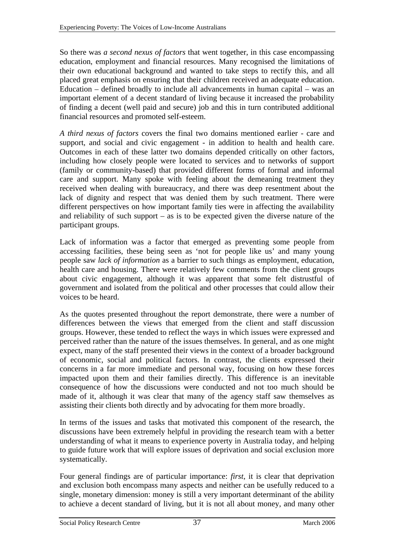So there was *a second nexus of factors* that went together, in this case encompassing education, employment and financial resources. Many recognised the limitations of their own educational background and wanted to take steps to rectify this, and all placed great emphasis on ensuring that their children received an adequate education. Education – defined broadly to include all advancements in human capital – was an important element of a decent standard of living because it increased the probability of finding a decent (well paid and secure) job and this in turn contributed additional financial resources and promoted self-esteem.

*A third nexus of factors* covers the final two domains mentioned earlier - care and support, and social and civic engagement - in addition to health and health care. Outcomes in each of these latter two domains depended critically on other factors, including how closely people were located to services and to networks of support (family or community-based) that provided different forms of formal and informal care and support. Many spoke with feeling about the demeaning treatment they received when dealing with bureaucracy, and there was deep resentment about the lack of dignity and respect that was denied them by such treatment. There were different perspectives on how important family ties were in affecting the availability and reliability of such support – as is to be expected given the diverse nature of the participant groups.

Lack of information was a factor that emerged as preventing some people from accessing facilities, these being seen as 'not for people like us' and many young people saw *lack of information* as a barrier to such things as employment, education, health care and housing. There were relatively few comments from the client groups about civic engagement, although it was apparent that some felt distrustful of government and isolated from the political and other processes that could allow their voices to be heard.

As the quotes presented throughout the report demonstrate, there were a number of differences between the views that emerged from the client and staff discussion groups. However, these tended to reflect the ways in which issues were expressed and perceived rather than the nature of the issues themselves. In general, and as one might expect, many of the staff presented their views in the context of a broader background of economic, social and political factors. In contrast, the clients expressed their concerns in a far more immediate and personal way, focusing on how these forces impacted upon them and their families directly. This difference is an inevitable consequence of how the discussions were conducted and not too much should be made of it, although it was clear that many of the agency staff saw themselves as assisting their clients both directly and by advocating for them more broadly.

In terms of the issues and tasks that motivated this component of the research, the discussions have been extremely helpful in providing the research team with a better understanding of what it means to experience poverty in Australia today, and helping to guide future work that will explore issues of deprivation and social exclusion more systematically.

Four general findings are of particular importance: *first*, it is clear that deprivation and exclusion both encompass many aspects and neither can be usefully reduced to a single, monetary dimension: money is still a very important determinant of the ability to achieve a decent standard of living, but it is not all about money, and many other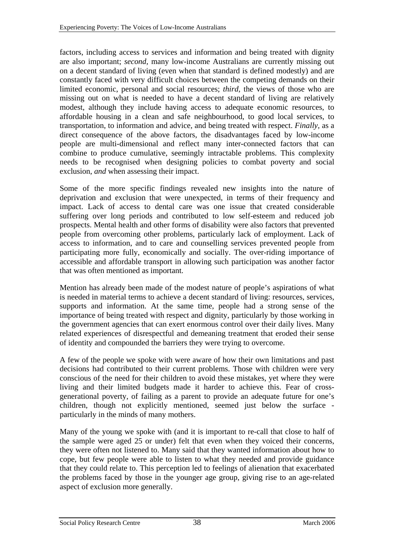factors, including access to services and information and being treated with dignity are also important; *second,* many low-income Australians are currently missing out on a decent standard of living (even when that standard is defined modestly) and are constantly faced with very difficult choices between the competing demands on their limited economic, personal and social resources; *third,* the views of those who are missing out on what is needed to have a decent standard of living are relatively modest, although they include having access to adequate economic resources, to affordable housing in a clean and safe neighbourhood, to good local services, to transportation, to information and advice, and being treated with respect. *Finally,* as a direct consequence of the above factors, the disadvantages faced by low-income people are multi-dimensional and reflect many inter-connected factors that can combine to produce cumulative, seemingly intractable problems. This complexity needs to be recognised when designing policies to combat poverty and social exclusion, *and* when assessing their impact.

Some of the more specific findings revealed new insights into the nature of deprivation and exclusion that were unexpected, in terms of their frequency and impact. Lack of access to dental care was one issue that created considerable suffering over long periods and contributed to low self-esteem and reduced job prospects. Mental health and other forms of disability were also factors that prevented people from overcoming other problems, particularly lack of employment. Lack of access to information, and to care and counselling services prevented people from participating more fully, economically and socially. The over-riding importance of accessible and affordable transport in allowing such participation was another factor that was often mentioned as important.

Mention has already been made of the modest nature of people's aspirations of what is needed in material terms to achieve a decent standard of living: resources, services, supports and information. At the same time, people had a strong sense of the importance of being treated with respect and dignity, particularly by those working in the government agencies that can exert enormous control over their daily lives. Many related experiences of disrespectful and demeaning treatment that eroded their sense of identity and compounded the barriers they were trying to overcome.

A few of the people we spoke with were aware of how their own limitations and past decisions had contributed to their current problems. Those with children were very conscious of the need for their children to avoid these mistakes, yet where they were living and their limited budgets made it harder to achieve this. Fear of crossgenerational poverty, of failing as a parent to provide an adequate future for one's children, though not explicitly mentioned, seemed just below the surface particularly in the minds of many mothers.

Many of the young we spoke with (and it is important to re-call that close to half of the sample were aged 25 or under) felt that even when they voiced their concerns, they were often not listened to. Many said that they wanted information about how to cope, but few people were able to listen to what they needed and provide guidance that they could relate to. This perception led to feelings of alienation that exacerbated the problems faced by those in the younger age group, giving rise to an age-related aspect of exclusion more generally.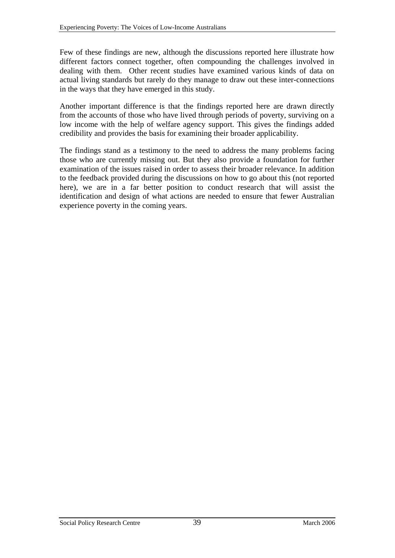Few of these findings are new, although the discussions reported here illustrate how different factors connect together, often compounding the challenges involved in dealing with them. Other recent studies have examined various kinds of data on actual living standards but rarely do they manage to draw out these inter-connections in the ways that they have emerged in this study.

Another important difference is that the findings reported here are drawn directly from the accounts of those who have lived through periods of poverty, surviving on a low income with the help of welfare agency support. This gives the findings added credibility and provides the basis for examining their broader applicability.

The findings stand as a testimony to the need to address the many problems facing those who are currently missing out. But they also provide a foundation for further examination of the issues raised in order to assess their broader relevance. In addition to the feedback provided during the discussions on how to go about this (not reported here), we are in a far better position to conduct research that will assist the identification and design of what actions are needed to ensure that fewer Australian experience poverty in the coming years.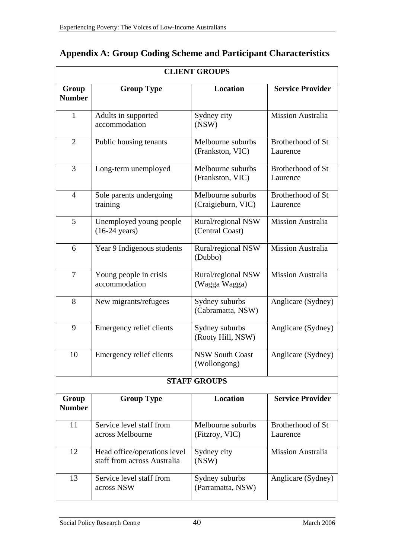|                        |                                                             | <b>CLIENT GROUPS</b>                    |                               |
|------------------------|-------------------------------------------------------------|-----------------------------------------|-------------------------------|
| Group<br><b>Number</b> | <b>Group Type</b>                                           | <b>Location</b>                         | <b>Service Provider</b>       |
| $\mathbf{1}$           | Adults in supported<br>accommodation                        | Sydney city<br>(NSW)                    | Mission Australia             |
| $\overline{2}$         | Public housing tenants                                      | Melbourne suburbs<br>(Frankston, VIC)   | Brotherhood of St<br>Laurence |
| 3                      | Long-term unemployed                                        | Melbourne suburbs<br>(Frankston, VIC)   | Brotherhood of St<br>Laurence |
| $\overline{4}$         | Sole parents undergoing<br>training                         | Melbourne suburbs<br>(Craigieburn, VIC) | Brotherhood of St<br>Laurence |
| 5                      | Unemployed young people<br>$(16-24 \text{ years})$          | Rural/regional NSW<br>(Central Coast)   | <b>Mission Australia</b>      |
| 6                      | Year 9 Indigenous students                                  | Rural/regional NSW<br>(Dubbo)           | Mission Australia             |
| $\overline{7}$         | Young people in crisis<br>accommodation                     | Rural/regional NSW<br>(Wagga Wagga)     | Mission Australia             |
| 8                      | New migrants/refugees                                       | Sydney suburbs<br>(Cabramatta, NSW)     | Anglicare (Sydney)            |
| 9                      | Emergency relief clients                                    | Sydney suburbs<br>(Rooty Hill, NSW)     | Anglicare (Sydney)            |
| 10                     | <b>Emergency relief clients</b>                             | <b>NSW South Coast</b><br>(Wollongong)  | Anglicare (Sydney)            |
|                        |                                                             | <b>STAFF GROUPS</b>                     |                               |
| Group<br><b>Number</b> | <b>Group Type</b>                                           | <b>Location</b>                         | <b>Service Provider</b>       |
| 11                     | Service level staff from<br>across Melbourne                | Melbourne suburbs<br>(Fitzroy, VIC)     | Brotherhood of St<br>Laurence |
| 12                     | Head office/operations level<br>staff from across Australia | Sydney city<br>(NSW)                    | <b>Mission Australia</b>      |
| 13                     | Service level staff from<br>across NSW                      | Sydney suburbs<br>(Parramatta, NSW)     | Anglicare (Sydney)            |

## <span id="page-42-0"></span>**Appendix A: Group Coding Scheme and Participant Characteristics**